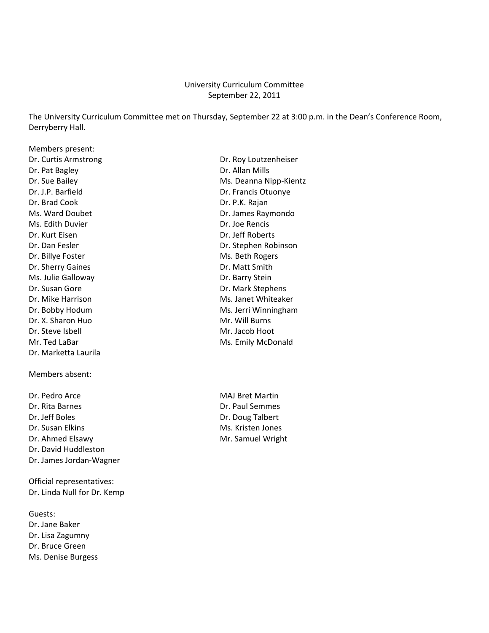#### University Curriculum Committee September 22, 2011

The University Curriculum Committee met on Thursday, September 22 at 3:00 p.m. in the Dean's Conference Room, Derryberry Hall.

Members present: Dr. Pat Bagley **Dr. Allan Mills** Dr. Brad Cook Dr. P.K. Rajan Ms. Edith Duvier **Dr. Joe Rencis** Dr. Kurt Eisen Dr. Jeff Roberts Dr. Billye Foster Ms. Beth Rogers Dr. Sherry Gaines Dr. Matt Smith Ms. Julie Galloway Dr. Barry Stein Dr. Susan Gore **Dr. Mark Stephens** Dr. X. Sharon Huo Mr. Will Burns Dr. Steve Isbell Mr. Jacob Hoot Dr. Marketta Laurila

Members absent:

Dr. Pedro Arce Mattin MAJ Bret Martin Dr. Rita Barnes Dr. Paul Semmes Dr. Jeff Boles Dr. Doug Talbert Dr. Susan Elkins Ms. Kristen Jones Dr. Ahmed Elsawy **Mr. Samuel Wright** Mr. Samuel Wright Dr. David Huddleston Dr. James Jordan‐Wagner

Official representatives: Dr. Linda Null for Dr. Kemp

Guests: Dr. Jane Baker Dr. Lisa Zagumny Dr. Bruce Green Ms. Denise Burgess

Dr. Curtis Armstrong **Dr. Curtis Armstrong** Dr. Sue Bailey Ms. Deanna Nipp-Kientz Dr. J.P. Barfield Dr. Francis Otuonye Ms. Ward Doubet **Dr. James Raymondo** Dr. Dan Fesler Nobinson Communication Communication Communication Communication Dr. Stephen Robinson Dr. Mike Harrison Ms. Janet Whiteaker Dr. Bobby Hodum Ms. Jerri Winningham Mr. Ted LaBar Mosa Camp Communication and Ms. Emily McDonald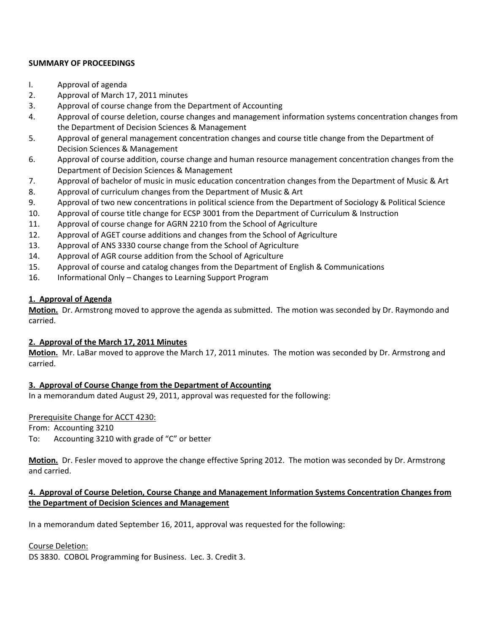#### **SUMMARY OF PROCEEDINGS**

- I. Approval of agenda
- 2. Approval of March 17, 2011 minutes
- 3. Approval of course change from the Department of Accounting
- 4. Approval of course deletion, course changes and management information systems concentration changes from the Department of Decision Sciences & Management
- 5. Approval of general management concentration changes and course title change from the Department of Decision Sciences & Management
- 6. Approval of course addition, course change and human resource management concentration changes from the Department of Decision Sciences & Management
- 7. Approval of bachelor of music in music education concentration changes from the Department of Music & Art
- 8. Approval of curriculum changes from the Department of Music & Art
- 9. Approval of two new concentrations in political science from the Department of Sociology & Political Science
- 10. Approval of course title change for ECSP 3001 from the Department of Curriculum & Instruction
- 11. Approval of course change for AGRN 2210 from the School of Agriculture
- 12. Approval of AGET course additions and changes from the School of Agriculture
- 13. Approval of ANS 3330 course change from the School of Agriculture
- 14. Approval of AGR course addition from the School of Agriculture
- 15. Approval of course and catalog changes from the Department of English & Communications
- 16. Informational Only Changes to Learning Support Program

#### **1. Approval of Agenda**

**Motion.** Dr. Armstrong moved to approve the agenda as submitted. The motion was seconded by Dr. Raymondo and carried.

#### **2. Approval of the March 17, 2011 Minutes**

**Motion.** Mr. LaBar moved to approve the March 17, 2011 minutes. The motion was seconded by Dr. Armstrong and carried.

## **3. Approval of Course Change from the Department of Accounting**

In a memorandum dated August 29, 2011, approval was requested for the following:

#### Prerequisite Change for ACCT 4230:

From: Accounting 3210

To: Accounting 3210 with grade of "C" or better

**Motion.** Dr. Fesler moved to approve the change effective Spring 2012. The motion was seconded by Dr. Armstrong and carried.

## **4. Approval of Course Deletion, Course Change and Management Information Systems Concentration Changes from the Department of Decision Sciences and Management**

In a memorandum dated September 16, 2011, approval was requested for the following:

#### Course Deletion:

DS 3830. COBOL Programming for Business. Lec. 3. Credit 3.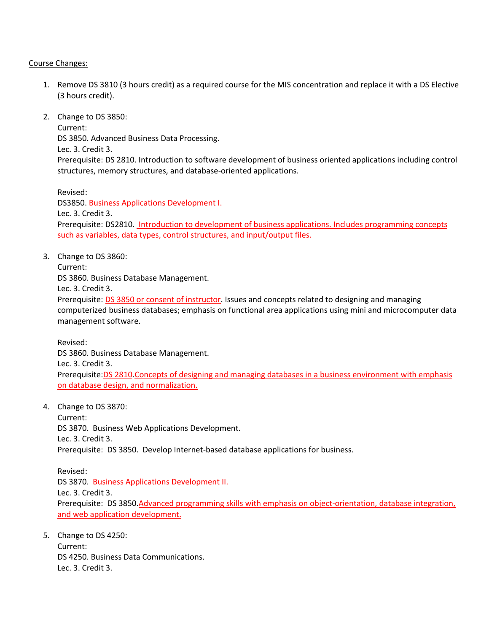#### Course Changes:

- 1. Remove DS 3810 (3 hours credit) as a required course for the MIS concentration and replace it with a DS Elective (3 hours credit).
- 2. Change to DS 3850:

Current: DS 3850. Advanced Business Data Processing. Lec. 3. Credit 3. Prerequisite: DS 2810. Introduction to software development of business oriented applications including control structures, memory structures, and database‐oriented applications.

Revised:

DS3850. Business Applications Development I. Lec. 3. Credit 3. Prerequisite: DS2810. Introduction to development of business applications. Includes programming concepts such as variables, data types, control structures, and input/output files.

3. Change to DS 3860:

Current:

DS 3860. Business Database Management.

Lec. 3. Credit 3.

Prerequisite: DS 3850 or consent of instructor. Issues and concepts related to designing and managing computerized business databases; emphasis on functional area applications using mini and microcomputer data management software.

Revised: DS 3860. Business Database Management. Lec. 3. Credit 3. Prerequisite:DS 2810.Concepts of designing and managing databases in a business environment with emphasis on database design, and normalization.

4. Change to DS 3870:

Current: DS 3870. Business Web Applications Development. Lec. 3. Credit 3. Prerequisite: DS 3850. Develop Internet‐based database applications for business.

Revised: DS 3870. Business Applications Development II. Lec. 3. Credit 3. Prerequisite: DS 3850.Advanced programming skills with emphasis on object-orientation, database integration, and web application development.

5. Change to DS 4250: Current: DS 4250. Business Data Communications. Lec. 3. Credit 3.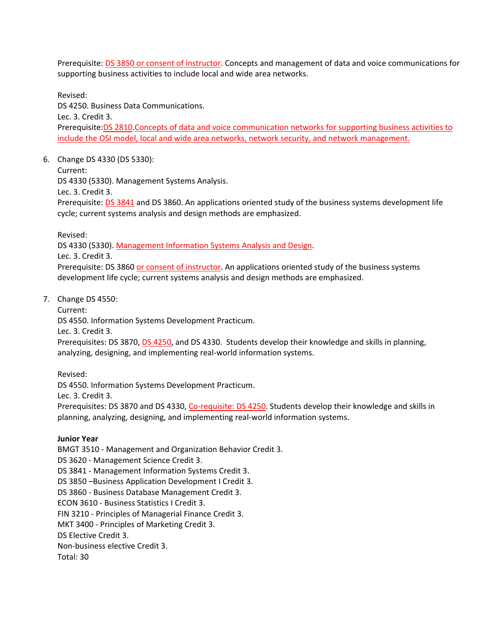Prerequisite: DS 3850 or consent of instructor. Concepts and management of data and voice communications for supporting business activities to include local and wide area networks.

Revised: DS 4250. Business Data Communications. Lec. 3. Credit 3. Prerequisite:DS 2810.Concepts of data and voice communication networks for supporting business activities to include the OSI model, local and wide area networks, network security, and network management.

6. Change DS 4330 (DS 5330):

Current:

DS 4330 (5330). Management Systems Analysis.

Lec. 3. Credit 3.

Prerequisite: DS 3841 and DS 3860. An applications oriented study of the business systems development life cycle; current systems analysis and design methods are emphasized.

Revised:

DS 4330 (5330). Management Information Systems Analysis and Design.

Lec. 3. Credit 3.

Prerequisite: DS 3860 or consent of instructor. An applications oriented study of the business systems development life cycle; current systems analysis and design methods are emphasized.

7. Change DS 4550:

Current:

DS 4550. Information Systems Development Practicum.

Lec. 3. Credit 3.

Prerequisites: DS 3870, DS 4250, and DS 4330. Students develop their knowledge and skills in planning, analyzing, designing, and implementing real‐world information systems.

Revised:

DS 4550. Information Systems Development Practicum.

Lec. 3. Credit 3.

Prerequisites: DS 3870 and DS 4330, Co-requisite: DS 4250. Students develop their knowledge and skills in planning, analyzing, designing, and implementing real‐world information systems.

#### **Junior Year**

BMGT 3510 ‐ Management and Organization Behavior Credit 3. DS 3620 ‐ Management Science Credit 3. DS 3841 ‐ Management Information Systems Credit 3. DS 3850 –Business Application Development I Credit 3. DS 3860 ‐ Business Database Management Credit 3. ECON 3610 ‐ Business Statistics I Credit 3. FIN 3210 ‐ Principles of Managerial Finance Credit 3. MKT 3400 ‐ Principles of Marketing Credit 3. DS Elective Credit 3. Non‐business elective Credit 3. Total: 30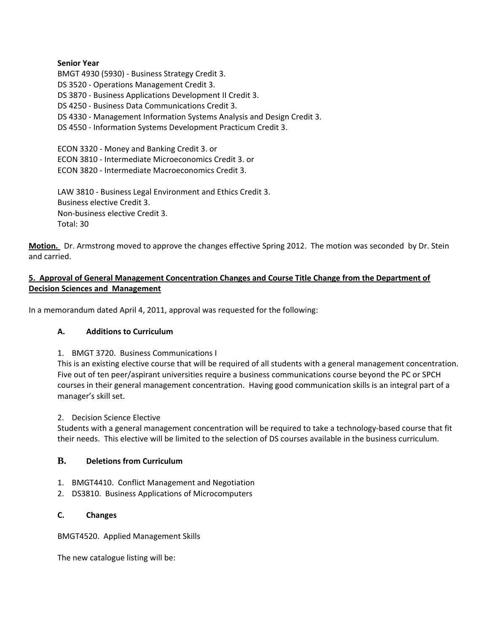#### **Senior Year**

BMGT 4930 (5930) ‐ Business Strategy Credit 3. DS 3520 ‐ Operations Management Credit 3. DS 3870 ‐ Business Applications Development II Credit 3. DS 4250 ‐ Business Data Communications Credit 3. DS 4330 ‐ Management Information Systems Analysis and Design Credit 3. DS 4550 ‐ Information Systems Development Practicum Credit 3. ECON 3320 ‐ Money and Banking Credit 3. or ECON 3810 ‐ Intermediate Microeconomics Credit 3. or ECON 3820 ‐ Intermediate Macroeconomics Credit 3. LAW 3810 ‐ Business Legal Environment and Ethics Credit 3.

Business elective Credit 3. Non‐business elective Credit 3. Total: 30

Motion. Dr. Armstrong moved to approve the changes effective Spring 2012. The motion was seconded by Dr. Stein and carried.

#### **5. Approval of General Management Concentration Changes and Course Title Change from the Department of Decision Sciences and Management**

In a memorandum dated April 4, 2011, approval was requested for the following:

## **A. Additions to Curriculum**

#### 1. BMGT 3720. Business Communications I

This is an existing elective course that will be required of all students with a general management concentration. Five out of ten peer/aspirant universities require a business communications course beyond the PC or SPCH courses in their general management concentration. Having good communication skills is an integral part of a manager's skill set.

#### 2. Decision Science Elective

Students with a general management concentration will be required to take a technology‐based course that fit their needs. This elective will be limited to the selection of DS courses available in the business curriculum.

#### **B. Deletions from Curriculum**

- 1. BMGT4410. Conflict Management and Negotiation
- 2. DS3810. Business Applications of Microcomputers

#### **C. Changes**

BMGT4520. Applied Management Skills

The new catalogue listing will be: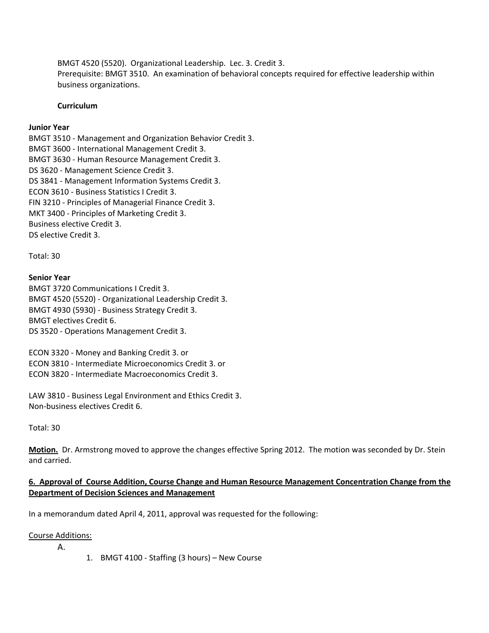BMGT 4520 (5520). Organizational Leadership. Lec. 3. Credit 3. Prerequisite: BMGT 3510. An examination of behavioral concepts required for effective leadership within business organizations.

#### **Curriculum**

#### **Junior Year**

BMGT 3510 ‐ Management and Organization Behavior Credit 3. BMGT 3600 ‐ International Management Credit 3. BMGT 3630 ‐ Human Resource Management Credit 3. DS 3620 ‐ Management Science Credit 3. DS 3841 ‐ Management Information Systems Credit 3. ECON 3610 ‐ Business Statistics I Credit 3. FIN 3210 ‐ Principles of Managerial Finance Credit 3. MKT 3400 ‐ Principles of Marketing Credit 3. Business elective Credit 3. DS elective Credit 3.

Total: 30

#### **Senior Year**

BMGT 3720 Communications I Credit 3. BMGT 4520 (5520) ‐ Organizational Leadership Credit 3. BMGT 4930 (5930) ‐ Business Strategy Credit 3. BMGT electives Credit 6. DS 3520 ‐ Operations Management Credit 3.

ECON 3320 ‐ Money and Banking Credit 3. or ECON 3810 ‐ Intermediate Microeconomics Credit 3. or ECON 3820 ‐ Intermediate Macroeconomics Credit 3.

LAW 3810 ‐ Business Legal Environment and Ethics Credit 3. Non‐business electives Credit 6.

Total: 30

**Motion.** Dr. Armstrong moved to approve the changes effective Spring 2012. The motion was seconded by Dr. Stein and carried.

#### 6. Approval of Course Addition, Course Change and Human Resource Management Concentration Change from the **Department of Decision Sciences and Management**

In a memorandum dated April 4, 2011, approval was requested for the following:

#### Course Additions:

A.

1. BMGT 4100 ‐ Staffing (3 hours) – New Course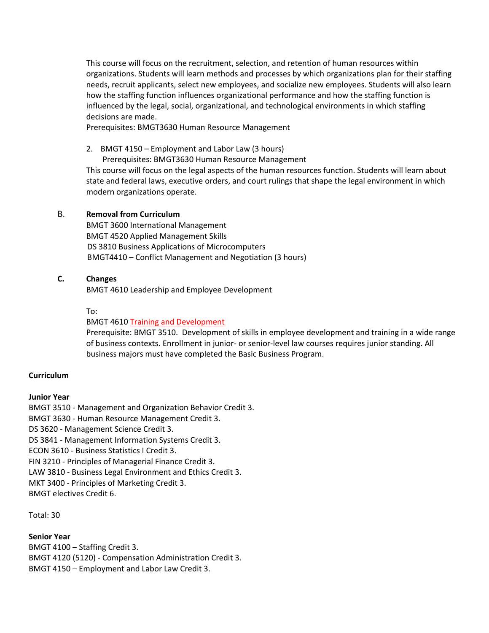This course will focus on the recruitment, selection, and retention of human resources within organizations. Students will learn methods and processes by which organizations plan for their staffing needs, recruit applicants, select new employees, and socialize new employees. Students will also learn how the staffing function influences organizational performance and how the staffing function is influenced by the legal, social, organizational, and technological environments in which staffing decisions are made.

Prerequisites: BMGT3630 Human Resource Management

2. BMGT 4150 – Employment and Labor Law (3 hours)

Prerequisites: BMGT3630 Human Resource Management

This course will focus on the legal aspects of the human resources function. Students will learn about state and federal laws, executive orders, and court rulings that shape the legal environment in which modern organizations operate.

#### B. **Removal from Curriculum**

BMGT 3600 International Management BMGT 4520 Applied Management Skills DS 3810 Business Applications of Microcomputers BMGT4410 – Conflict Management and Negotiation (3 hours)

#### **C. Changes**

BMGT 4610 Leadership and Employee Development

To:

BMGT 4610 Training and Development

Prerequisite: BMGT 3510. Development of skills in employee development and training in a wide range of business contexts. Enrollment in junior‐ or senior‐level law courses requires junior standing. All business majors must have completed the Basic Business Program.

#### **Curriculum**

#### **Junior Year**

BMGT 3510 ‐ Management and Organization Behavior Credit 3. BMGT 3630 ‐ Human Resource Management Credit 3. DS 3620 ‐ Management Science Credit 3. DS 3841 ‐ Management Information Systems Credit 3. ECON 3610 ‐ Business Statistics I Credit 3. FIN 3210 ‐ Principles of Managerial Finance Credit 3. LAW 3810 ‐ Business Legal Environment and Ethics Credit 3. MKT 3400 ‐ Principles of Marketing Credit 3. BMGT electives Credit 6.

Total: 30

#### **Senior Year**

BMGT 4100 – Staffing Credit 3. BMGT 4120 (5120) ‐ Compensation Administration Credit 3. BMGT 4150 – Employment and Labor Law Credit 3.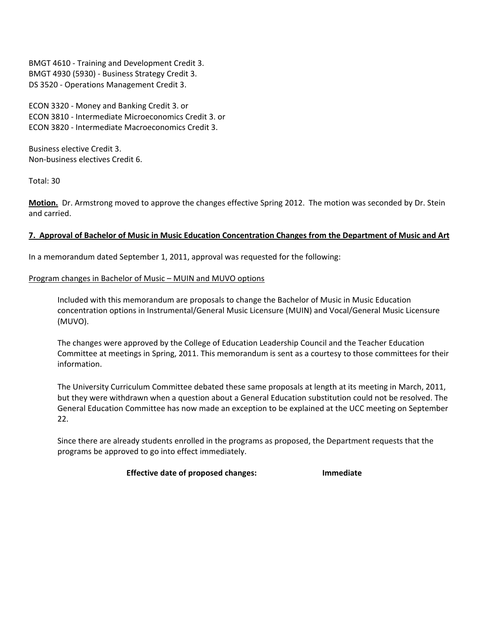BMGT 4610 ‐ Training and Development Credit 3. BMGT 4930 (5930) ‐ Business Strategy Credit 3. DS 3520 ‐ Operations Management Credit 3.

ECON 3320 ‐ Money and Banking Credit 3. or ECON 3810 ‐ Intermediate Microeconomics Credit 3. or ECON 3820 ‐ Intermediate Macroeconomics Credit 3.

Business elective Credit 3. Non‐business electives Credit 6.

Total: 30

**Motion.** Dr. Armstrong moved to approve the changes effective Spring 2012. The motion was seconded by Dr. Stein and carried.

## 7. Approval of Bachelor of Music in Music Education Concentration Changes from the Department of Music and Art

In a memorandum dated September 1, 2011, approval was requested for the following:

#### Program changes in Bachelor of Music – MUIN and MUVO options

Included with this memorandum are proposals to change the Bachelor of Music in Music Education concentration options in Instrumental/General Music Licensure (MUIN) and Vocal/General Music Licensure (MUVO).

The changes were approved by the College of Education Leadership Council and the Teacher Education Committee at meetings in Spring, 2011. This memorandum is sent as a courtesy to those committees for their information.

The University Curriculum Committee debated these same proposals at length at its meeting in March, 2011, but they were withdrawn when a question about a General Education substitution could not be resolved. The General Education Committee has now made an exception to be explained at the UCC meeting on September 22.

Since there are already students enrolled in the programs as proposed, the Department requests that the programs be approved to go into effect immediately.

**Effective date of proposed changes: Immediate**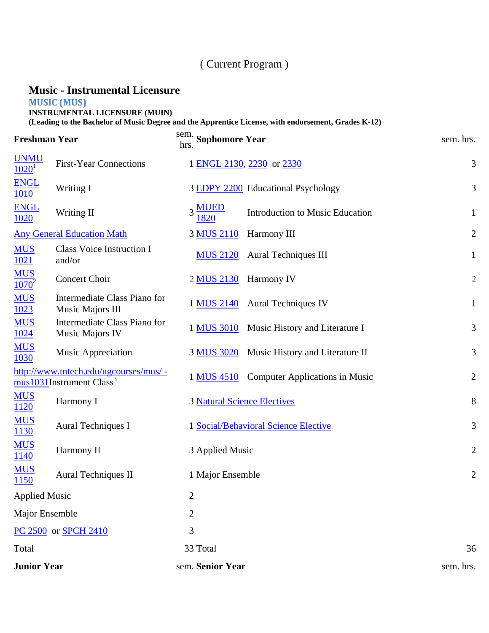# ( Current Program )

# **Music - Instrumental Licensure**

# **MUSIC (MUS)**

**INSTRUMENTAL LICENSURE (MUIN)**

**(Leading to the Bachelor of Music Degree and the Apprentice License, with endorsement, Grades K-12)**

| <b>Freshman Year</b>                |                                                                                | sem. Sophomore Year<br>hrs.        |                                       | sem. hrs.      |
|-------------------------------------|--------------------------------------------------------------------------------|------------------------------------|---------------------------------------|----------------|
| <b>UNMU</b><br>$1020^1$             | <b>First-Year Connections</b>                                                  |                                    | 1 ENGL 2130, 2230 or 2330             | 3              |
| <b>ENGL</b><br><b>1010</b>          | Writing I                                                                      |                                    | 3 EDPY 2200 Educational Psychology    | 3              |
| <b>ENGL</b><br>1020                 | Writing II                                                                     | $3 \frac{\text{MUED}}{2}$<br>1820  | Introduction to Music Education       | $\mathbf{1}$   |
|                                     | <b>Any General Education Math</b>                                              | 3 MUS 2110                         | Harmony III                           | $\overline{2}$ |
| <b>MUS</b><br>1021                  | <b>Class Voice Instruction I</b><br>and/or                                     | <b>MUS 2120</b>                    | <b>Aural Techniques III</b>           | $\mathbf{1}$   |
| <b>MUS</b><br>$\overline{1070}^{2}$ | Concert Choir                                                                  | 2 MUS 2130                         | Harmony IV                            | $\overline{c}$ |
| <b>MUS</b><br>1023                  | Intermediate Class Piano for<br>Music Majors III                               | 1 MUS 2140                         | <b>Aural Techniques IV</b>            | $\mathbf{1}$   |
| <b>MUS</b><br>1024                  | Intermediate Class Piano for<br>Music Majors IV                                | 1 MUS 3010                         | Music History and Literature I        | 3              |
| <b>MUS</b><br>1030                  | <b>Music Appreciation</b>                                                      | 3 MUS 3020                         | Music History and Literature II       | 3              |
|                                     | http://www.tntech.edu/ugcourses/mus/ -<br>mus1031Instrument Class <sup>3</sup> | 1 MUS 4510                         | <b>Computer Applications in Music</b> | $\overline{2}$ |
| <b>MUS</b><br>1120                  | Harmony I                                                                      | <b>3 Natural Science Electives</b> |                                       | $8\phantom{1}$ |
| <b>MUS</b><br>1130                  | <b>Aural Techniques I</b>                                                      |                                    | 1 Social/Behavioral Science Elective  | $\mathfrak{Z}$ |
| <b>MUS</b><br><u>1140</u>           | Harmony II                                                                     | 3 Applied Music                    |                                       | $\mathbf{2}$   |
| <b>MUS</b><br>1150                  | <b>Aural Techniques II</b>                                                     | 1 Major Ensemble                   |                                       | $\overline{2}$ |
| <b>Applied Music</b>                |                                                                                | $\overline{2}$                     |                                       |                |
| Major Ensemble                      |                                                                                | $\overline{2}$                     |                                       |                |
|                                     | PC 2500 or SPCH 2410                                                           | 3                                  |                                       |                |
| Total                               |                                                                                | 33 Total                           |                                       | 36             |
| <b>Junior Year</b>                  |                                                                                | sem. Senior Year                   |                                       | sem. hrs.      |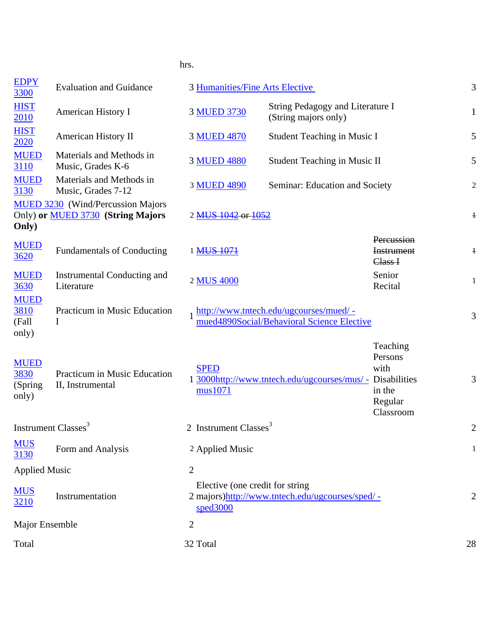## hrs.

| <b>EDPY</b><br>3300                      | <b>Evaluation and Guidance</b>                                                       | 3 Humanities/Fine Arts Elective              |                                                                                       |                                                               | 3              |
|------------------------------------------|--------------------------------------------------------------------------------------|----------------------------------------------|---------------------------------------------------------------------------------------|---------------------------------------------------------------|----------------|
| <b>HIST</b><br>2010                      | <b>American History I</b>                                                            | 3 MUED 3730                                  | String Pedagogy and Literature I<br>(String majors only)                              |                                                               | $\mathbf{1}$   |
| <b>HIST</b><br>2020                      | <b>American History II</b>                                                           | 3 MUED 4870                                  | Student Teaching in Music I                                                           |                                                               | 5              |
| <b>MUED</b><br>3110                      | Materials and Methods in<br>Music, Grades K-6                                        | 3 MUED 4880                                  | <b>Student Teaching in Music II</b>                                                   |                                                               | $\mathfrak s$  |
| <b>MUED</b><br>3130                      | Materials and Methods in<br>Music, Grades 7-12                                       | 3 MUED 4890                                  | Seminar: Education and Society                                                        |                                                               | $\sqrt{2}$     |
| Only)                                    | <b>MUED 3230</b> (Wind/Percussion Majors<br>Only) or <b>MUED 3730</b> (String Majors | 2 MUS 1042 or 1052                           |                                                                                       |                                                               | $\ddagger$     |
| <b>MUED</b><br>3620                      | <b>Fundamentals of Conducting</b>                                                    | 1 MUS 1071                                   |                                                                                       | Percussion<br><b>Instrument</b><br>Class <sub>H</sub>         | $\ddagger$     |
| <b>MUED</b><br>3630                      | Instrumental Conducting and<br>Literature                                            | 2 MUS 4000                                   |                                                                                       | Senior<br>Recital                                             | $\mathbf{1}$   |
| <b>MUED</b><br>3810<br>(Fall<br>only)    | Practicum in Music Education<br>I                                                    |                                              | http://www.tntech.edu/ugcourses/mued/ -<br>mued4890Social/Behavioral Science Elective |                                                               | 3              |
| <b>MUED</b><br>3830<br>(Spring)<br>only) | Practicum in Music Education<br>II, Instrumental                                     | <b>SPED</b><br>mus1071                       | 1 3000http://www.tntech.edu/ugcourses/mus/ - Disabilities                             | Teaching<br>Persons<br>with<br>in the<br>Regular<br>Classroom | 3              |
| Instrument Classes <sup>3</sup>          |                                                                                      | 2 Instrument Classes <sup>3</sup>            |                                                                                       |                                                               | $\overline{c}$ |
| <b>MUS</b><br>3130                       | Form and Analysis                                                                    | 2 Applied Music                              |                                                                                       |                                                               | $\mathbf{1}$   |
| <b>Applied Music</b>                     |                                                                                      | $\overline{2}$                               |                                                                                       |                                                               |                |
| <b>MUS</b><br>3210                       | Instrumentation                                                                      | Elective (one credit for string<br>speed3000 | 2 majors)http://www.tntech.edu/ugcourses/sped/ -                                      |                                                               | $\overline{2}$ |
| Major Ensemble                           |                                                                                      | $\overline{2}$                               |                                                                                       |                                                               |                |
| Total                                    |                                                                                      | 32 Total                                     |                                                                                       |                                                               | 28             |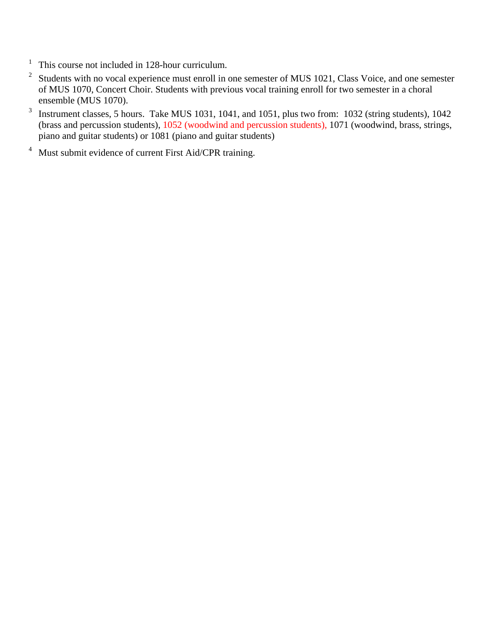- 1 This course not included in 128-hour curriculum.
- 2 Students with no vocal experience must enroll in one semester of MUS 1021, Class Voice, and one semester of MUS 1070, Concert Choir. Students with previous vocal training enroll for two semester in a choral ensemble (MUS 1070).
- 3 Instrument classes, 5 hours. Take MUS 1031, 1041, and 1051, plus two from: 1032 (string students), 1042 (brass and percussion students), 1052 (woodwind and percussion students), 1071 (woodwind, brass, strings, piano and guitar students) or 1081 (piano and guitar students)
- 4 Must submit evidence of current First Aid/CPR training.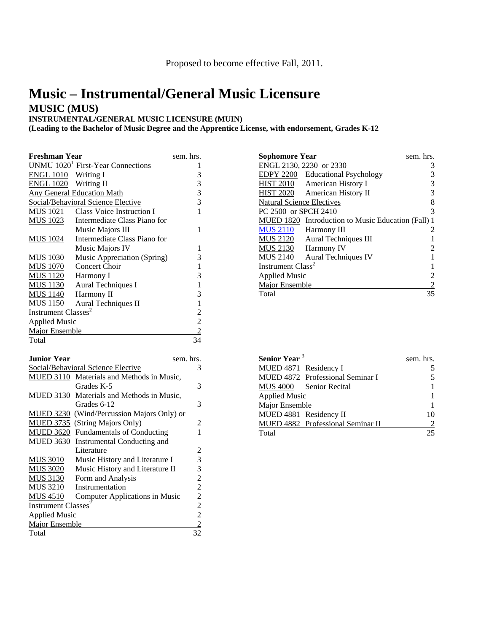# **Music – Instrumental/General Music Licensure MUSIC (MUS)**

**INSTRUMENTAL/GENERAL MUSIC LICENSURE (MUIN)**

**(Leading to the Bachelor of Music Degree and the Apprentice License, with endorsement, Grades K-12**

| <b>Freshman Year</b>            |                                                      | sem. hrs.                                  |
|---------------------------------|------------------------------------------------------|--------------------------------------------|
|                                 | <b>UNMU</b> 1020 <sup>1</sup> First-Year Connections | 1                                          |
| ENGL 1010 Writing I             |                                                      |                                            |
| ENGL 1020 Writing II            |                                                      | $\begin{array}{c} 3 \\ 3 \\ 3 \end{array}$ |
|                                 | <b>Any General Education Math</b>                    |                                            |
|                                 | Social/Behavioral Science Elective                   | $\overline{3}$                             |
| <u>MUS 1021</u>                 | Class Voice Instruction I                            | 1                                          |
| <b>MUS 1023</b>                 | Intermediate Class Piano for                         |                                            |
|                                 | Music Majors III                                     | 1                                          |
| <b>MUS 1024</b>                 | Intermediate Class Piano for                         |                                            |
|                                 | Music Majors IV                                      | 1                                          |
| <b>MUS 1030</b>                 | Music Appreciation (Spring)                          | 3                                          |
| <b>MUS 1070</b>                 | Concert Choir                                        | $\mathbf{1}$                               |
| <b>MUS 1120</b>                 | Harmony I                                            | 3                                          |
| <b>MUS</b> 1130                 | Aural Techniques I                                   | $\mathbf{1}$                               |
| <b>MUS</b> 1140                 | Harmony II                                           | 3                                          |
| <b>MUS 1150</b>                 | Aural Techniques II                                  | $\mathbf{1}$                               |
| Instrument Classes <sup>2</sup> |                                                      | $\overline{c}$                             |
| <b>Applied Music</b>            |                                                      |                                            |
| <b>Major Ensemble</b>           |                                                      | $\frac{2}{2}$                              |
| Total                           |                                                      | 34                                         |
|                                 |                                                      |                                            |
| <b>Junior Year</b>              |                                                      | sem. hrs.                                  |
|                                 | Social/Behavioral Science Elective                   | 3                                          |
|                                 | MUED 3110 Materials and Methods in Music,            |                                            |
|                                 | Grades K-5                                           | 3                                          |
|                                 | MUED 3130 Materials and Methods in Music,            |                                            |
|                                 | Grades 6-12                                          | 3                                          |

MUED 3230 (Wind/Percussion Majors Only) or MUED 3735 (String Majors Only) 2 MUED 3620 Fundamentals of Conducting 1

MUS 3010 Music History and Literature I 3 MUS 3020 Music History and Literature II 3 MUS 3130 Form and Analysis 2<br>MUS 3210 Instrumentation 2

MUS 4510 Computer Applications in Music 2<br>Instrument Classes<sup>2</sup> 2

Applied Music 2  $\frac{\text{Major Ensemble}}{2}$ Total 32

Literature 2

2

MUED 3630 Instrumental Conducting and

MUS 3210 Instrumentation

Instrument Classes<sup>2</sup>

| <b>Sophomore Year</b>            |                                                    | sem. hrs. |
|----------------------------------|----------------------------------------------------|-----------|
| ENGL 2130, 2230 or 2330          |                                                    | 3         |
|                                  | EDPY 2200 Educational Psychology                   | 3         |
| <b>HIST 2010</b>                 | American History I                                 | 3         |
| HIST 2020                        | American History II                                | 3         |
| <b>Natural Science Electives</b> |                                                    | 8         |
| PC 2500 or SPCH 2410             |                                                    | 3         |
|                                  | MUED 1820 Introduction to Music Education (Fall) 1 |           |
| <b>MUS 2110</b>                  | Harmony III                                        | 2         |
| MUS 2120                         | Aural Techniques III                               |           |
| MUS 2130                         | Harmony IV                                         | 2         |
| MUS 2140                         | Aural Techniques IV                                |           |
| Instrument Class <sup>2</sup>    |                                                    |           |
| <b>Applied Music</b>             |                                                    |           |
| Major Ensemble                   |                                                    |           |
| Total                            |                                                    | 35        |

| Senior Year <sup>3</sup> |                                   | sem. hrs. |
|--------------------------|-----------------------------------|-----------|
| MUED 4871 Residency I    |                                   |           |
|                          | MUED 4872 Professional Seminar I  |           |
|                          | MUS 4000 Senior Recital           |           |
| <b>Applied Music</b>     |                                   |           |
| Major Ensemble           |                                   |           |
| MUED 4881 Residency II   |                                   | 10        |
|                          | MUED 4882 Professional Seminar II |           |
| Total                    |                                   | 25        |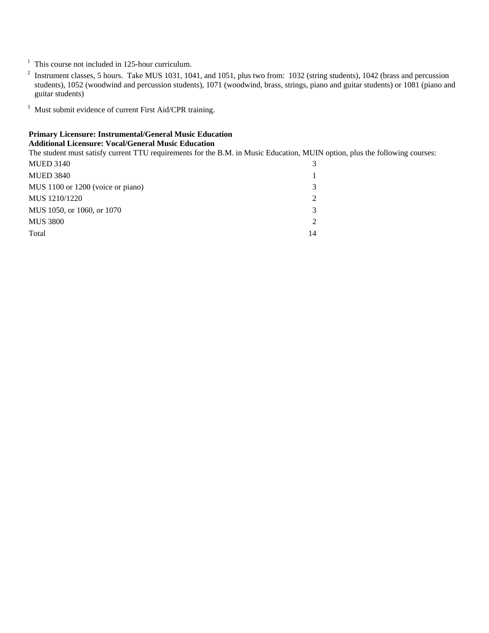<sup>1</sup> This course not included in 125-hour curriculum.

- <sup>2</sup> Instrument classes, 5 hours. Take MUS 1031, 1041, and 1051, plus two from: 1032 (string students), 1042 (brass and percussion students), 1052 (woodwind and percussion students), 1071 (woodwind, brass, strings, piano and guitar students) or 1081 (piano and guitar students)
- <sup>3</sup> Must submit evidence of current First Aid/CPR training.

#### **Primary Licensure: Instrumental/General Music Education Additional Licensure: Vocal/General Music Education**

The student must satisfy current TTU requirements for the B.M. in Music Education, MUIN option, plus the following courses:

| <b>MUED 3140</b>                  | 3              |
|-----------------------------------|----------------|
| <b>MUED 3840</b>                  |                |
| MUS 1100 or 1200 (voice or piano) | 3              |
| MUS 1210/1220                     | $\overline{2}$ |
| MUS 1050, or 1060, or 1070        | 3              |
| <b>MUS 3800</b>                   | $\mathcal{D}$  |
| Total                             | 14             |
|                                   |                |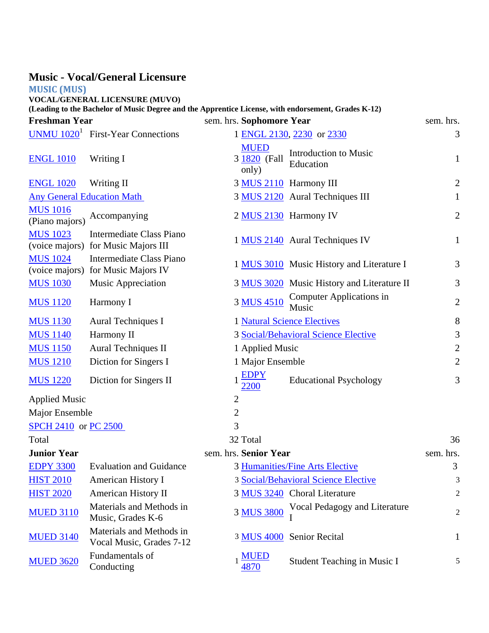|                                   | <b>Music - Vocal/General Licensure</b>                                                                                                       |                                      |                                            |                |
|-----------------------------------|----------------------------------------------------------------------------------------------------------------------------------------------|--------------------------------------|--------------------------------------------|----------------|
| <b>MUSIC (MUS)</b>                |                                                                                                                                              |                                      |                                            |                |
|                                   | <b>VOCAL/GENERAL LICENSURE (MUVO)</b><br>(Leading to the Bachelor of Music Degree and the Apprentice License, with endorsement, Grades K-12) |                                      |                                            |                |
| <b>Freshman Year</b>              |                                                                                                                                              | sem. hrs. Sophomore Year             |                                            | sem. hrs.      |
|                                   | UNMU $10201$ First-Year Connections                                                                                                          |                                      | 1 ENGL 2130, 2230 or 2330                  | 3              |
| <b>ENGL 1010</b>                  | Writing I                                                                                                                                    | <b>MUED</b><br>3 1820 (Fall<br>only) | Introduction to Music<br>Education         | $\mathbf{1}$   |
| <b>ENGL 1020</b>                  | Writing II                                                                                                                                   | 3 MUS 2110 Harmony III               |                                            | $\overline{2}$ |
| <b>Any General Education Math</b> |                                                                                                                                              |                                      | 3 MUS 2120 Aural Techniques III            | $\mathbf{1}$   |
| <b>MUS 1016</b><br>(Piano majors) | Accompanying                                                                                                                                 | 2 MUS 2130 Harmony IV                |                                            | $\mathbf{2}$   |
| <b>MUS 1023</b>                   | Intermediate Class Piano<br>(voice majors) for Music Majors III                                                                              |                                      | 1 MUS 2140 Aural Techniques IV             | $\mathbf{1}$   |
| <b>MUS 1024</b><br>(voice majors) | <b>Intermediate Class Piano</b><br>for Music Majors IV                                                                                       |                                      | 1 MUS 3010 Music History and Literature I  | 3              |
| <b>MUS 1030</b>                   | <b>Music Appreciation</b>                                                                                                                    |                                      | 3 MUS 3020 Music History and Literature II | 3              |
| <b>MUS 1120</b>                   | Harmony I                                                                                                                                    | 3 MUS 4510                           | <b>Computer Applications in</b><br>Music   | $\overline{2}$ |
| <b>MUS 1130</b>                   | <b>Aural Techniques I</b>                                                                                                                    |                                      | <b>1 Natural Science Electives</b>         | 8              |
| <b>MUS 1140</b>                   | Harmony II                                                                                                                                   |                                      | 3 Social/Behavioral Science Elective       | $\mathfrak{Z}$ |
| <b>MUS 1150</b>                   | <b>Aural Techniques II</b>                                                                                                                   | 1 Applied Music                      |                                            | $\mathbf{2}$   |
| <b>MUS 1210</b>                   | Diction for Singers I                                                                                                                        | 1 Major Ensemble                     |                                            | $\overline{2}$ |
| <b>MUS 1220</b>                   | Diction for Singers II                                                                                                                       | <b>EDPY</b><br>2200                  | <b>Educational Psychology</b>              | 3              |
| <b>Applied Music</b>              |                                                                                                                                              | $\mathfrak{2}$                       |                                            |                |
| Major Ensemble                    |                                                                                                                                              | $\mathbf{2}$                         |                                            |                |
| SPCH 2410 or PC 2500              |                                                                                                                                              | 3                                    |                                            |                |
| Total                             |                                                                                                                                              | 32 Total                             |                                            | 36             |
| <b>Junior Year</b>                |                                                                                                                                              | sem. hrs. Senior Year                |                                            | sem. hrs.      |
| <b>EDPY 3300</b>                  | <b>Evaluation and Guidance</b>                                                                                                               |                                      | 3 Humanities/Fine Arts Elective            | 3              |
| <b>HIST 2010</b>                  | <b>American History I</b>                                                                                                                    |                                      | 3 Social/Behavioral Science Elective       | 3              |
| <b>HIST 2020</b>                  | <b>American History II</b>                                                                                                                   |                                      | 3 MUS 3240 Choral Literature               | $\overline{2}$ |
| <b>MUED 3110</b>                  | Materials and Methods in<br>Music, Grades K-6                                                                                                | 3 MUS 3800                           | Vocal Pedagogy and Literature              | $\overline{2}$ |
| <b>MUED 3140</b>                  | Materials and Methods in<br>Vocal Music, Grades 7-12                                                                                         |                                      | 3 MUS 4000 Senior Recital                  | 1              |
| <b>MUED 3620</b>                  | Fundamentals of<br>Conducting                                                                                                                | <b>MUED</b><br>4870                  | Student Teaching in Music I                | 5              |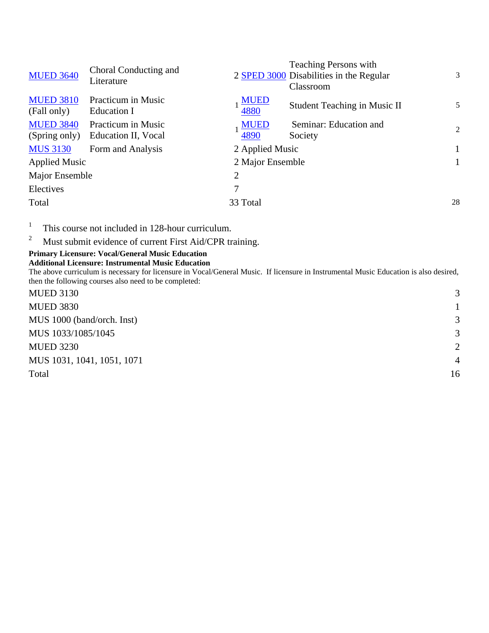| <b>MUED 3640</b>                  | Choral Conducting and<br>Literature       |                     | <b>Teaching Persons with</b><br>2 SPED 3000 Disabilities in the Regular<br>Classroom | 3              |
|-----------------------------------|-------------------------------------------|---------------------|--------------------------------------------------------------------------------------|----------------|
| <b>MUED 3810</b><br>(Fall only)   | <b>Practicum in Music</b><br>Education I  | <b>MUED</b><br>4880 | Student Teaching in Music II                                                         | 5              |
| <b>MUED 3840</b><br>(Spring only) | Practicum in Music<br>Education II, Vocal | <b>MUED</b><br>4890 | Seminar: Education and<br>Society                                                    | $\mathfrak{D}$ |
| <b>MUS 3130</b>                   | Form and Analysis                         | 2 Applied Music     |                                                                                      |                |
| <b>Applied Music</b>              |                                           | 2 Major Ensemble    |                                                                                      |                |
| Major Ensemble                    |                                           | $\overline{2}$      |                                                                                      |                |
| Electives                         |                                           | 7                   |                                                                                      |                |
| Total                             |                                           | 33 Total            |                                                                                      | 28             |
|                                   |                                           |                     |                                                                                      |                |

1 This course not included in 128-hour curriculum.

2 Must submit evidence of current First Aid/CPR training.

## **Primary Licensure: Vocal/General Music Education**

**Additional Licensure: Instrumental Music Education**

The above curriculum is necessary for licensure in Vocal/General Music. If licensure in Instrumental Music Education is also desired, then the following courses also need to be completed:

| <b>MUED 3130</b>           | 3              |
|----------------------------|----------------|
| <b>MUED 3830</b>           |                |
| MUS 1000 (band/orch. Inst) | 3              |
| MUS 1033/1085/1045         | 3              |
| <b>MUED 3230</b>           | $\overline{2}$ |
| MUS 1031, 1041, 1051, 1071 | $\overline{4}$ |
| Total                      | 16             |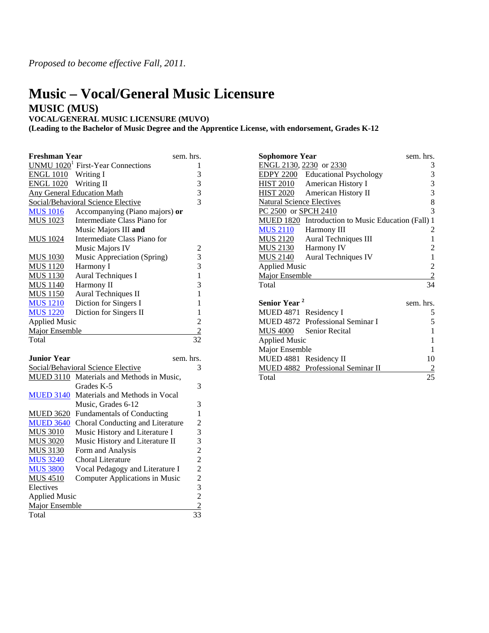# **Music – Vocal/General Music Licensure MUSIC (MUS)**

#### **VOCAL/GENERAL MUSIC LICENSURE (MUVO)**

**(Leading to the Bachelor of Music Degree and the Apprentice License, with endorsement, Grades K-12**

| <b>Freshman Year</b>  |                                               | sem. hrs.               |  |
|-----------------------|-----------------------------------------------|-------------------------|--|
|                       | UNMU 1020 <sup>1</sup> First-Year Connections | 1                       |  |
| <b>ENGL 1010</b>      | Writing I                                     | 3                       |  |
| <b>ENGL 1020</b>      | Writing II                                    | 3                       |  |
|                       | <b>Any General Education Math</b>             | 3                       |  |
|                       | Social/Behavioral Science Elective            | 3                       |  |
| <b>MUS 1016</b>       | Accompanying (Piano majors) or                |                         |  |
| <b>MUS 1023</b>       | Intermediate Class Piano for                  |                         |  |
|                       | Music Majors III and                          |                         |  |
| <b>MUS 1024</b>       | Intermediate Class Piano for                  |                         |  |
|                       | Music Majors IV                               | 2                       |  |
| <b>MUS 1030</b>       | Music Appreciation (Spring)                   | 3                       |  |
| <b>MUS 1120</b>       | Harmony I                                     | 3                       |  |
| <b>MUS 1130</b>       | Aural Techniques I                            | $\mathbf{1}$            |  |
| <b>MUS 1140</b>       | Harmony II                                    | 3                       |  |
| <b>MUS 1150</b>       | Aural Techniques II                           | 1                       |  |
| <b>MUS 1210</b>       | Diction for Singers I                         | 1                       |  |
| <b>MUS 1220</b>       | Diction for Singers II                        | 1                       |  |
| <b>Applied Music</b>  |                                               | $\overline{c}$          |  |
| Major Ensemble        |                                               | $\overline{2}$          |  |
| Total                 |                                               | 32                      |  |
|                       |                                               |                         |  |
| <b>Junior Year</b>    |                                               | sem. hrs.               |  |
|                       | Social/Behavioral Science Elective            | 3                       |  |
| <b>MUED 3110</b>      | Materials and Methods in Music,               |                         |  |
|                       | Grades K-5                                    | 3                       |  |
| <b>MUED 3140</b>      | Materials and Methods in Vocal                |                         |  |
|                       | Music, Grades 6-12                            | 3                       |  |
| <b>MUED 3620</b>      | <b>Fundamentals of Conducting</b>             | $\mathbf{1}$            |  |
| <b>MUED 3640</b>      | Choral Conducting and Literature              | $\overline{\mathbf{c}}$ |  |
| <b>MUS 3010</b>       | Music History and Literature I                | 3                       |  |
| <b>MUS 3020</b>       | Music History and Literature II               | 3                       |  |
| <b>MUS 3130</b>       | Form and Analysis                             |                         |  |
| <b>MUS 3240</b>       | Choral Literature                             |                         |  |
| <b>MUS 3800</b>       | Vocal Pedagogy and Literature I               |                         |  |
| <b>MUS 4510</b>       | <b>Computer Applications in Music</b>         |                         |  |
| Electives             |                                               | $2222$<br>$232$<br>$32$ |  |
| <b>Applied Music</b>  |                                               |                         |  |
| <b>Major Ensemble</b> |                                               | $\overline{2}$          |  |

Total 33

| <b>Sophomore Year</b>            |                                                    | sem. hrs.      |
|----------------------------------|----------------------------------------------------|----------------|
|                                  | ENGL 2130, 2230 or 2330                            | 3              |
|                                  | <b>EDPY 2200</b> Educational Psychology            | 3              |
| <u>HIST 2010</u>                 | American History I                                 | 3              |
| <u>HIST 2020</u>                 | American History II                                | 3              |
| <b>Natural Science Electives</b> |                                                    | 8              |
| PC 2500 or SPCH 2410             |                                                    | 3              |
|                                  | MUED 1820 Introduction to Music Education (Fall) 1 |                |
| MUS 2110                         | Harmony III                                        | 2              |
| <u>MUS 2120</u>                  | <b>Aural Techniques III</b>                        | 1              |
| <u>MUS 2130</u>                  | Harmony IV                                         | 2              |
| <b>MUS 2140</b>                  | <b>Aural Techniques IV</b>                         | $\mathbf{1}$   |
| <b>Applied Music</b>             |                                                    | $\overline{c}$ |
| <b>Major Ensemble</b>            |                                                    | $\overline{2}$ |
| Total                            |                                                    | 34             |
|                                  |                                                    |                |
| Senior Year <sup>2</sup>         |                                                    | sem. hrs.      |
| MUED 4871 Residency I            |                                                    | 5              |
|                                  | MUED 4872 Professional Seminar I                   | 5              |
|                                  | MUS 4000 Senior Recital                            | 1              |
| <b>Applied Music</b>             |                                                    | 1              |
| Major Ensemble                   |                                                    | 1              |
| MUED 4881 Residency II           |                                                    | 10             |
|                                  | MUED 4882 Professional Seminar II                  | $\overline{2}$ |
| Total                            |                                                    | 25             |
|                                  |                                                    |                |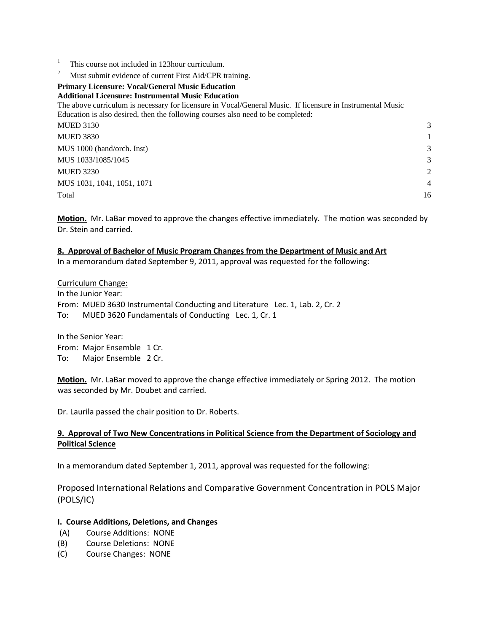- 1 This course not included in 123hour curriculum.
- 2 Must submit evidence of current First Aid/CPR training.

#### **Primary Licensure: Vocal/General Music Education Additional Licensure: Instrumental Music Education**

The above curriculum is necessary for licensure in Vocal/General Music. If licensure in Instrumental Music Education is also desired, then the following courses also need to be completed:

| <b>MUED 3130</b>           | 3              |
|----------------------------|----------------|
| <b>MUED 3830</b>           |                |
| MUS 1000 (band/orch. Inst) | 3              |
| MUS 1033/1085/1045         | 3              |
| <b>MUED 3230</b>           | $\overline{2}$ |
| MUS 1031, 1041, 1051, 1071 | $\overline{4}$ |
| Total                      | 16             |

**Motion.** Mr. LaBar moved to approve the changes effective immediately. The motion was seconded by Dr. Stein and carried.

#### **8. Approval of Bachelor of Music Program Changes from the Department of Music and Art**

In a memorandum dated September 9, 2011, approval was requested for the following:

Curriculum Change: In the Junior Year: From: MUED 3630 Instrumental Conducting and Literature Lec. 1, Lab. 2, Cr. 2 To: MUED 3620 Fundamentals of Conducting Lec. 1, Cr. 1

In the Senior Year: From: Major Ensemble 1 Cr. To: Major Ensemble 2 Cr.

**Motion.** Mr. LaBar moved to approve the change effective immediately or Spring 2012. The motion was seconded by Mr. Doubet and carried.

Dr. Laurila passed the chair position to Dr. Roberts.

#### **9. Approval of Two New Concentrations in Political Science from the Department of Sociology and Political Science**

In a memorandum dated September 1, 2011, approval was requested for the following:

Proposed International Relations and Comparative Government Concentration in POLS Major (POLS/IC)

#### **I. Course Additions, Deletions, and Changes**

- (A) Course Additions: NONE
- (B) Course Deletions: NONE
- (C) Course Changes: NONE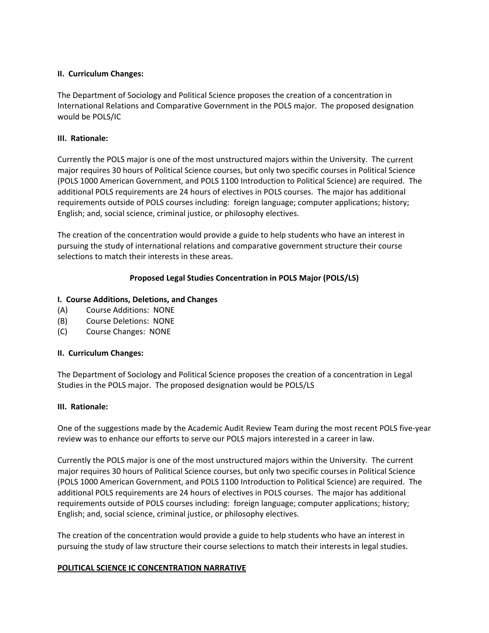#### **II. Curriculum Changes:**

The Department of Sociology and Political Science proposes the creation of a concentration in International Relations and Comparative Government in the POLS major. The proposed designation would be POLS/IC

#### **III. Rationale:**

Currently the POLS major is one of the most unstructured majors within the University. The current major requires 30 hours of Political Science courses, but only two specific courses in Political Science (POLS 1000 American Government, and POLS 1100 Introduction to Political Science) are required. The additional POLS requirements are 24 hours of electives in POLS courses. The major has additional requirements outside of POLS courses including: foreign language; computer applications; history; English; and, social science, criminal justice, or philosophy electives.

The creation of the concentration would provide a guide to help students who have an interest in pursuing the study of international relations and comparative government structure their course selections to match their interests in these areas.

#### **Proposed Legal Studies Concentration in POLS Major (POLS/LS)**

#### **I. Course Additions, Deletions, and Changes**

- (A) Course Additions: NONE
- (B) Course Deletions: NONE
- (C) Course Changes: NONE

#### **II. Curriculum Changes:**

The Department of Sociology and Political Science proposes the creation of a concentration in Legal Studies in the POLS major. The proposed designation would be POLS/LS

#### **III. Rationale:**

One of the suggestions made by the Academic Audit Review Team during the most recent POLS five‐year review was to enhance our efforts to serve our POLS majors interested in a career in law.

Currently the POLS major is one of the most unstructured majors within the University. The current major requires 30 hours of Political Science courses, but only two specific courses in Political Science (POLS 1000 American Government, and POLS 1100 Introduction to Political Science) are required. The additional POLS requirements are 24 hours of electives in POLS courses. The major has additional requirements outside of POLS courses including: foreign language; computer applications; history; English; and, social science, criminal justice, or philosophy electives.

The creation of the concentration would provide a guide to help students who have an interest in pursuing the study of law structure their course selections to match their interests in legal studies.

#### **POLITICAL SCIENCE IC CONCENTRATION NARRATIVE**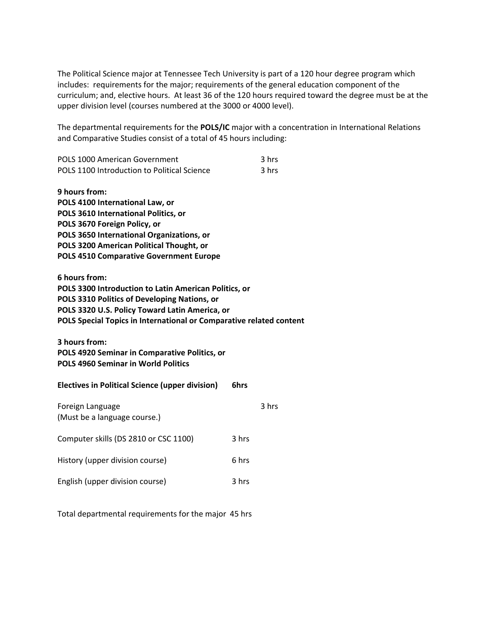The Political Science major at Tennessee Tech University is part of a 120 hour degree program which includes: requirements for the major; requirements of the general education component of the curriculum; and, elective hours. At least 36 of the 120 hours required toward the degree must be at the upper division level (courses numbered at the 3000 or 4000 level).

The departmental requirements for the **POLS/IC** major with a concentration in International Relations and Comparative Studies consist of a total of 45 hours including:

| POLS 1000 American Government               | 3 hrs |
|---------------------------------------------|-------|
| POLS 1100 Introduction to Political Science | 3 hrs |

**9 hours from: POLS 4100 International Law, or POLS 3610 International Politics, or POLS 3670 Foreign Policy, or POLS 3650 International Organizations, or POLS 3200 American Political Thought, or POLS 4510 Comparative Government Europe**

**6 hours from: POLS 3300 Introduction to Latin American Politics, or POLS 3310 Politics of Developing Nations, or POLS 3320 U.S. Policy Toward Latin America, or POLS Special Topics in International or Comparative related content**

**3 hours from: POLS 4920 Seminar in Comparative Politics, or POLS 4960 Seminar in World Politics**

| <b>Electives in Political Science (upper division)</b> | 6hrs  |       |
|--------------------------------------------------------|-------|-------|
| Foreign Language<br>(Must be a language course.)       |       | 3 hrs |
| Computer skills (DS 2810 or CSC 1100)                  | 3 hrs |       |
| History (upper division course)                        | 6 hrs |       |
| English (upper division course)                        | 3 hrs |       |

Total departmental requirements for the major 45 hrs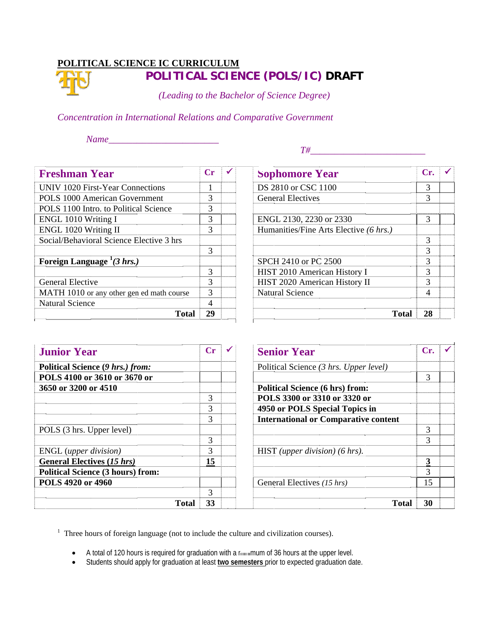# **POLITICAL SCIENCE IC CURRICULUM POLITI ICAL SCI IENCE (P POLS/IC) ) DRAFT**

*(Leading to the Bachelor of Science Degree)* 

*Concentration in International Relations and Comparative Government* 

*N Name\_\_\_\_\_\_ \_\_\_\_\_\_\_\_\_\_\_ \_\_\_\_\_\_\_\_* 

 *T#\_\_ \_\_\_\_\_\_\_\_\_\_\_ \_\_\_\_\_\_\_\_\_\_ \_\_\_\_* 

| <b>Freshman Year</b>                      | $\mathbf{C}\mathbf{r}$ |  |
|-------------------------------------------|------------------------|--|
| UNIV 1020 First-Year Connections          | 1                      |  |
| POLS 1000 American Government             | 3                      |  |
| POLS 1100 Intro. to Political Science     | 3                      |  |
| ENGL 1010 Writing I                       | 3                      |  |
| ENGL 1020 Writing II                      | 3                      |  |
| Social/Behavioral Science Elective 3 hrs  |                        |  |
|                                           | 3                      |  |
| Foreign Language $^{1}(3 \, hrs.)$        |                        |  |
|                                           | 3                      |  |
| <b>General Elective</b>                   | 3                      |  |
| MATH 1010 or any other gen ed math course | 3                      |  |
| <b>Natural Science</b>                    |                        |  |
| Total                                     | 29                     |  |

| <b>Sophomore Year</b>                  | Cr. |  |
|----------------------------------------|-----|--|
| DS 2810 or CSC 1100                    | 3   |  |
| <b>General Electives</b>               |     |  |
| ENGL 2130, 2230 or 2330                |     |  |
| Humanities/Fine Arts Elective (6 hrs.) |     |  |
|                                        |     |  |
|                                        |     |  |
| SPCH 2410 or PC 2500                   |     |  |
| HIST 2010 American History I           |     |  |
| HIST 2020 American History II          |     |  |
| <b>Natural Science</b>                 |     |  |
| <b>Total</b>                           |     |  |

| <b>Junior Year</b>                       | $C_{\Gamma}$ |  |
|------------------------------------------|--------------|--|
| Political Science (9 hrs.) from:         |              |  |
| POLS 4100 or 3610 or 3670 or             |              |  |
| 3650 or 3200 or 4510                     |              |  |
|                                          |              |  |
|                                          | 3            |  |
|                                          | 3            |  |
| POLS (3 hrs. Upper level)                |              |  |
|                                          | 3            |  |
| ENGL (upper division)                    | 3            |  |
| <b>General Electives (15 hrs)</b>        | 15           |  |
| <b>Political Science (3 hours) from:</b> |              |  |
| POLS 4920 or 4960                        |              |  |
|                                          | 3            |  |
| <b>Total</b>                             | 33           |  |

| <b>Senior Year</b>                          | Cr. |
|---------------------------------------------|-----|
| Political Science (3 hrs. Upper level)      |     |
|                                             |     |
| <b>Political Science (6 hrs) from:</b>      |     |
| POLS 3300 or 3310 or 3320 or                |     |
| 4950 or POLS Special Topics in              |     |
| <b>International or Comparative content</b> |     |
|                                             |     |
|                                             |     |
| HIST (upper division) $(6 \, hrs)$ .        |     |
|                                             |     |
|                                             | 3   |
| General Electives (15 hrs)                  | 15  |
| Total                                       | 30  |

<sup>1</sup> Three hours of foreign language (not to include the culture and civilization courses).

- $\bullet$  A total of 120 hours is required for graduation with a minimum of 36 hours at the upper level.
- Students should apply for graduation at least **two semesters** prior to expected graduation date.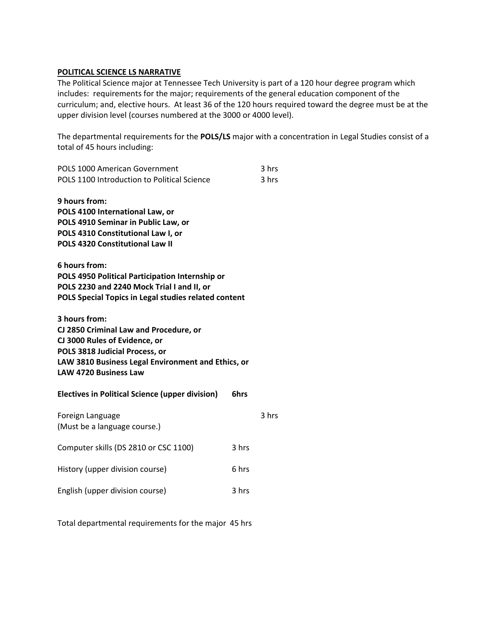#### **POLITICAL SCIENCE LS NARRATIVE**

The Political Science major at Tennessee Tech University is part of a 120 hour degree program which includes: requirements for the major; requirements of the general education component of the curriculum; and, elective hours. At least 36 of the 120 hours required toward the degree must be at the upper division level (courses numbered at the 3000 or 4000 level).

The departmental requirements for the **POLS/LS** major with a concentration in Legal Studies consist of a total of 45 hours including:

| <b>POLS 1000 American Government</b><br>POLS 1100 Introduction to Political Science                                                                                                                              |       | 3 hrs<br>3 hrs |
|------------------------------------------------------------------------------------------------------------------------------------------------------------------------------------------------------------------|-------|----------------|
| 9 hours from:<br>POLS 4100 International Law, or<br>POLS 4910 Seminar in Public Law, or<br>POLS 4310 Constitutional Law I, or<br>POLS 4320 Constitutional Law II                                                 |       |                |
| 6 hours from:<br>POLS 4950 Political Participation Internship or<br>POLS 2230 and 2240 Mock Trial I and II, or<br>POLS Special Topics in Legal studies related content                                           |       |                |
| 3 hours from:<br>CJ 2850 Criminal Law and Procedure, or<br>CJ 3000 Rules of Evidence, or<br>POLS 3818 Judicial Process, or<br>LAW 3810 Business Legal Environment and Ethics, or<br><b>LAW 4720 Business Law</b> |       |                |
| <b>Electives in Political Science (upper division)</b>                                                                                                                                                           | 6hrs  |                |
| Foreign Language<br>(Must be a language course.)                                                                                                                                                                 |       | 3 hrs          |
| Computer skills (DS 2810 or CSC 1100)                                                                                                                                                                            | 3 hrs |                |
| History (upper division course)                                                                                                                                                                                  | 6 hrs |                |
| English (upper division course)                                                                                                                                                                                  | 3 hrs |                |
|                                                                                                                                                                                                                  |       |                |

Total departmental requirements for the major 45 hrs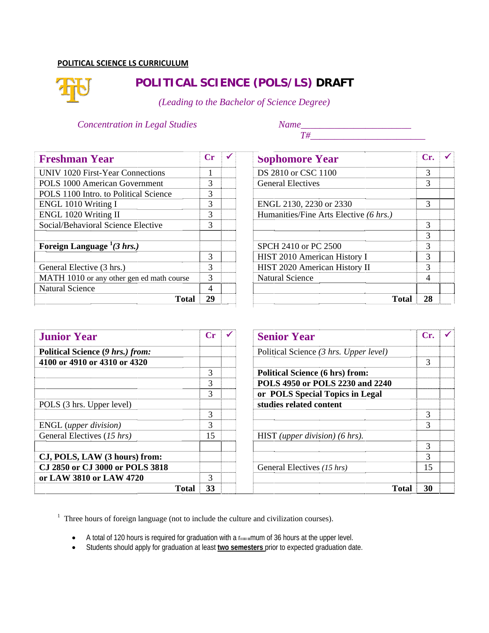#### **POLITICA L SCIENCE LS CURRICULUM M**



# **POLITICAL SCIENCE (POLS/LS) DRAFT**

*(Leading to the Bachelor of Science Degree)* 

#### *Concentration in Legal Studies*

*Name\_\_\_\_ \_\_\_\_\_\_\_\_\_\_\_ \_\_\_\_\_\_\_\_\_\_ T#\_\_ \_\_\_\_\_\_\_\_\_\_\_ \_\_\_\_\_\_\_\_\_\_ \_\_\_\_\_* 

| <b>Freshman Year</b>                      | Сr |  |
|-------------------------------------------|----|--|
| UNIV 1020 First-Year Connections          |    |  |
| <b>POLS 1000 American Government</b>      | 3  |  |
| POLS 1100 Intro. to Political Science     | 3  |  |
| ENGL 1010 Writing I                       | 3  |  |
| ENGL 1020 Writing II                      |    |  |
| Social/Behavioral Science Elective        | 3  |  |
|                                           |    |  |
| Foreign Language $^{1}(3 \, hrs.)$        |    |  |
|                                           | 3  |  |
| General Elective (3 hrs.)                 | 3  |  |
| MATH 1010 or any other gen ed math course | 3  |  |
| <b>Natural Science</b>                    |    |  |
| Total                                     | 29 |  |

| <b>Sophomore Year</b>                  | Cr. |  |
|----------------------------------------|-----|--|
| DS 2810 or CSC 1100                    | 3   |  |
| <b>General Electives</b>               | 3   |  |
| ENGL 2130, 2230 or 2330                | 3   |  |
| Humanities/Fine Arts Elective (6 hrs.) |     |  |
|                                        |     |  |
|                                        |     |  |
| SPCH 2410 or PC 2500                   |     |  |
| HIST 2010 American History I           |     |  |
| HIST 2020 American History II          |     |  |
| <b>Natural Science</b>                 |     |  |
| <b>Total</b>                           | 28  |  |

| <b>Junior Year</b>               |       | Сr |  |
|----------------------------------|-------|----|--|
| Political Science (9 hrs.) from: |       |    |  |
| 4100 or 4910 or 4310 or 4320     |       |    |  |
|                                  |       | 3  |  |
|                                  |       | 3  |  |
|                                  |       | 3  |  |
| POLS (3 hrs. Upper level)        |       |    |  |
|                                  |       | 3  |  |
| ENGL (upper division)            |       | 3  |  |
| General Electives (15 hrs)       |       | 15 |  |
| CJ, POLS, LAW (3 hours) from:    |       |    |  |
| CJ 2850 or CJ 3000 or POLS 3818  |       |    |  |
| or LAW 3810 or LAW 4720          |       | 3  |  |
|                                  | Total | 33 |  |

| <b>Senior Year</b>                     | Cr. |
|----------------------------------------|-----|
| Political Science (3 hrs. Upper level) |     |
|                                        |     |
| <b>Political Science (6 hrs) from:</b> |     |
| POLS 4950 or POLS 2230 and 2240        |     |
| or POLS Special Topics in Legal        |     |
| studies related content                |     |
|                                        |     |
|                                        |     |
| HIST (upper division) $(6 \, hrs)$ .   |     |
|                                        | 3   |
|                                        |     |
| General Electives (15 hrs)             | 15  |
| <b>Total</b>                           | 30  |

<sup>1</sup> Three hours of foreign language (not to include the culture and civilization courses).

- $\bullet$ total of 120 hours is required for graduation with a minimum of 36 hours at the upper level.
- Students should apply for graduation at least **two semesters** prior to expected graduation date.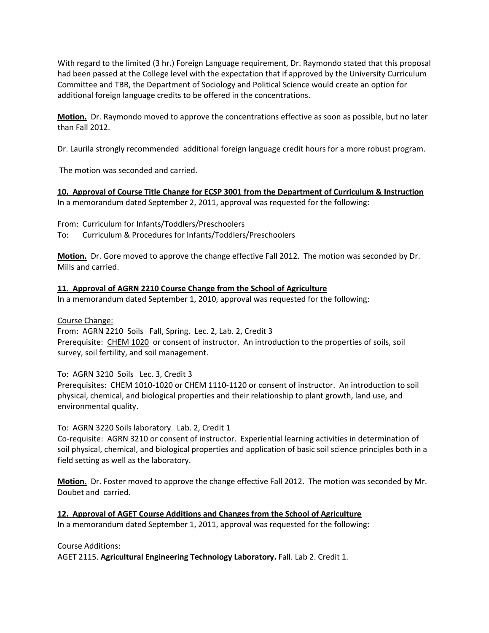With regard to the limited (3 hr.) Foreign Language requirement, Dr. Raymondo stated that this proposal had been passed at the College level with the expectation that if approved by the University Curriculum Committee and TBR, the Department of Sociology and Political Science would create an option for additional foreign language credits to be offered in the concentrations.

**Motion.** Dr. Raymondo moved to approve the concentrations effective as soon as possible, but no later than Fall 2012.

Dr. Laurila strongly recommended additional foreign language credit hours for a more robust program.

The motion was seconded and carried.

**10. Approval of Course Title Change for ECSP 3001 from the Department of Curriculum & Instruction** In a memorandum dated September 2, 2011, approval was requested for the following:

From: Curriculum for Infants/Toddlers/Preschoolers To: Curriculum & Procedures for Infants/Toddlers/Preschoolers

**Motion.** Dr. Gore moved to approve the change effective Fall 2012. The motion was seconded by Dr. Mills and carried.

## **11. Approval of AGRN 2210 Course Change from the School of Agriculture**

In a memorandum dated September 1, 2010, approval was requested for the following:

#### Course Change:

From: AGRN 2210 Soils Fall, Spring. Lec. 2, Lab. 2, Credit 3 Prerequisite: CHEM 1020 or consent of instructor. An introduction to the properties of soils, soil survey, soil fertility, and soil management.

#### To: AGRN 3210 Soils Lec. 3, Credit 3

Prerequisites: CHEM 1010‐1020 or CHEM 1110‐1120 or consent of instructor. An introduction to soil physical, chemical, and biological properties and their relationship to plant growth, land use, and environmental quality.

#### To: AGRN 3220 Soils laboratory Lab. 2, Credit 1

Co-requisite: AGRN 3210 or consent of instructor. Experiential learning activities in determination of soil physical, chemical, and biological properties and application of basic soil science principles both in a field setting as well as the laboratory.

**Motion.** Dr. Foster moved to approve the change effective Fall 2012. The motion was seconded by Mr. Doubet and carried.

#### **12. Approval of AGET Course Additions and Changes from the School of Agriculture** In a memorandum dated September 1, 2011, approval was requested for the following:

#### Course Additions:

AGET 2115. **Agricultural Engineering Technology Laboratory.** Fall. Lab 2. Credit 1.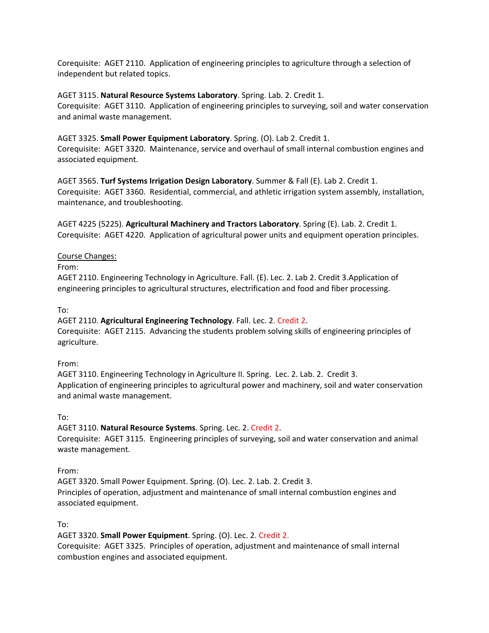Corequisite: AGET 2110. Application of engineering principles to agriculture through a selection of independent but related topics.

#### AGET 3115. **Natural Resource Systems Laboratory**. Spring. Lab. 2. Credit 1.

Corequisite: AGET 3110. Application of engineering principles to surveying, soil and water conservation and animal waste management.

#### AGET 3325. **Small Power Equipment Laboratory**. Spring. (O). Lab 2. Credit 1.

Corequisite: AGET 3320. Maintenance, service and overhaul of small internal combustion engines and associated equipment.

AGET 3565. **Turf Systems Irrigation Design Laboratory**. Summer & Fall (E). Lab 2. Credit 1. Corequisite: AGET 3360. Residential, commercial, and athletic irrigation system assembly, installation, maintenance, and troubleshooting.

AGET 4225 (5225). **Agricultural Machinery and Tractors Laboratory**. Spring (E). Lab. 2. Credit 1. Corequisite: AGET 4220. Application of agricultural power units and equipment operation principles.

#### Course Changes:

From:

AGET 2110. Engineering Technology in Agriculture. Fall. (E). Lec. 2. Lab 2. Credit 3.Application of engineering principles to agricultural structures, electrification and food and fiber processing.

To:

AGET 2110. **Agricultural Engineering Technology**. Fall. Lec. 2. Credit 2. Corequisite: AGET 2115. Advancing the students problem solving skills of engineering principles of agriculture.

#### From:

AGET 3110. Engineering Technology in Agriculture II. Spring. Lec. 2. Lab. 2. Credit 3. Application of engineering principles to agricultural power and machinery, soil and water conservation and animal waste management.

To:

AGET 3110. **Natural Resource Systems**. Spring. Lec. 2. Credit 2.

Corequisite: AGET 3115. Engineering principles of surveying, soil and water conservation and animal waste management.

From:

AGET 3320. Small Power Equipment. Spring. (O). Lec. 2. Lab. 2. Credit 3. Principles of operation, adjustment and maintenance of small internal combustion engines and associated equipment.

To:

AGET 3320. **Small Power Equipment**. Spring. (O). Lec. 2. Credit 2.

Corequisite: AGET 3325. Principles of operation, adjustment and maintenance of small internal combustion engines and associated equipment.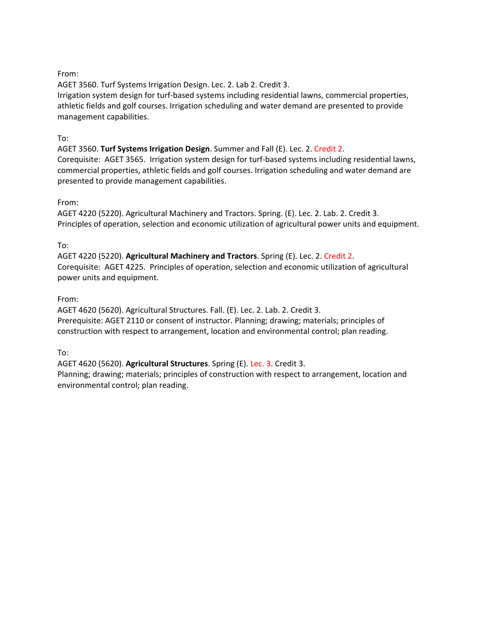#### From:

AGET 3560. Turf Systems Irrigation Design. Lec. 2. Lab 2. Credit 3.

Irrigation system design for turf‐based systems including residential lawns, commercial properties, athletic fields and golf courses. Irrigation scheduling and water demand are presented to provide management capabilities.

#### To:

AGET 3560. **Turf Systems Irrigation Design**. Summer and Fall (E). Lec. 2. Credit 2.

Corequisite: AGET 3565. Irrigation system design for turf‐based systems including residential lawns, commercial properties, athletic fields and golf courses. Irrigation scheduling and water demand are presented to provide management capabilities.

#### From:

AGET 4220 (5220). Agricultural Machinery and Tractors. Spring. (E). Lec. 2. Lab. 2. Credit 3. Principles of operation, selection and economic utilization of agricultural power units and equipment.

## To:

AGET 4220 (5220). **Agricultural Machinery and Tractors**. Spring (E). Lec. 2. Credit 2. Corequisite: AGET 4225. Principles of operation, selection and economic utilization of agricultural power units and equipment.

## From:

AGET 4620 (5620). Agricultural Structures. Fall. (E). Lec. 2. Lab. 2. Credit 3. Prerequisite: AGET 2110 or consent of instructor. Planning; drawing; materials; principles of construction with respect to arrangement, location and environmental control; plan reading.

To:

AGET 4620 (5620). **Agricultural Structures**. Spring (E). Lec. 3. Credit 3.

Planning; drawing; materials; principles of construction with respect to arrangement, location and environmental control; plan reading.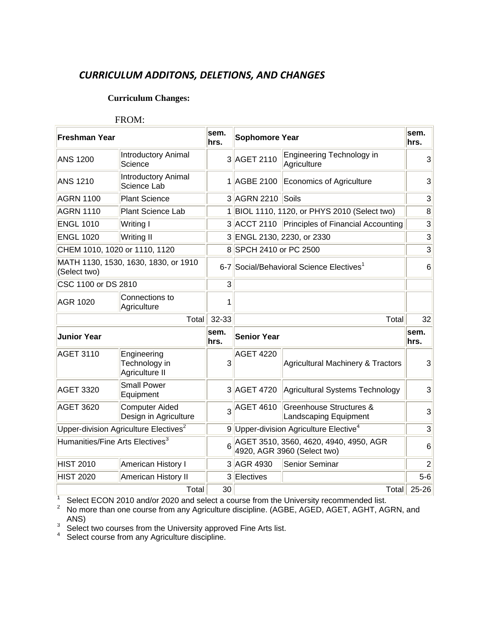# *CURRICULUM ADDITONS, DELETIONS, AND CHANGES*

# **Curriculum Changes:**

#### FROM:

| <b>Freshman Year</b>                        |                                                   | sem.<br>hrs.   | <b>Sophomore Year</b>                                                 |                                                             |                 |  | sem.<br>hrs. |
|---------------------------------------------|---------------------------------------------------|----------------|-----------------------------------------------------------------------|-------------------------------------------------------------|-----------------|--|--------------|
| <b>ANS 1200</b>                             | <b>Introductory Animal</b><br>Science             |                | 3 AGET 2110                                                           | <b>Engineering Technology in</b><br>Agriculture             | $\overline{3}$  |  |              |
| <b>ANS 1210</b>                             | <b>Introductory Animal</b><br>Science Lab         |                | 1 AGBE 2100                                                           | Economics of Agriculture                                    | 3               |  |              |
| <b>AGRN 1100</b>                            | <b>Plant Science</b>                              |                | 3 AGRN 2210 Soils                                                     |                                                             | 3               |  |              |
| <b>AGRN 1110</b>                            | Plant Science Lab                                 |                |                                                                       | 1 BIOL 1110, 1120, or PHYS 2010 (Select two)                | 8               |  |              |
| <b>ENGL 1010</b>                            | Writing I                                         |                |                                                                       | 3 ACCT 2110 Principles of Financial Accounting              | 3               |  |              |
| <b>ENGL 1020</b>                            | <b>Writing II</b>                                 |                |                                                                       | 3 ENGL 2130, 2230, or 2330                                  | 3               |  |              |
| CHEM 1010, 1020 or 1110, 1120               |                                                   |                | 8 SPCH 2410 or PC 2500                                                |                                                             | 3               |  |              |
| (Select two)                                | MATH 1130, 1530, 1630, 1830, or 1910              |                | 6-7 Social/Behavioral Science Electives <sup>1</sup>                  |                                                             |                 |  | 6            |
| CSC 1100 or DS 2810                         |                                                   | 3              |                                                                       |                                                             |                 |  |              |
| <b>AGR 1020</b>                             | Connections to<br>Agriculture                     | 1              |                                                                       |                                                             |                 |  |              |
|                                             | Total                                             | 32-33          |                                                                       | Total                                                       | 32              |  |              |
| <b>Junior Year</b>                          |                                                   | sem.<br>hrs.   | <b>Senior Year</b>                                                    |                                                             | sem.<br>hrs.    |  |              |
| <b>AGET 3110</b>                            | Engineering<br>Technology in<br>Agriculture II    | 3              | <b>AGET 4220</b>                                                      | <b>Agricultural Machinery &amp; Tractors</b>                | $\overline{3}$  |  |              |
| <b>AGET 3320</b>                            | <b>Small Power</b><br>Equipment                   |                |                                                                       | 3 AGET 4720 Agricultural Systems Technology                 | 3               |  |              |
| <b>AGET 3620</b>                            | <b>Computer Aided</b><br>Design in Agriculture    | $\overline{3}$ | <b>AGET 4610</b>                                                      | <b>Greenhouse Structures &amp;</b><br>Landscaping Equipment | $\overline{3}$  |  |              |
|                                             | Upper-division Agriculture Electives <sup>2</sup> |                |                                                                       | 9 Upper-division Agriculture Elective <sup>4</sup>          | 3               |  |              |
| Humanities/Fine Arts Electives <sup>3</sup> |                                                   | 6              | AGET 3510, 3560, 4620, 4940, 4950, AGR<br>4920, AGR 3960 (Select two) |                                                             | $6\phantom{1}6$ |  |              |
| <b>HIST 2010</b>                            | American History I                                |                | 3 AGR 4930                                                            | Senior Seminar                                              | $\overline{2}$  |  |              |
| <b>HIST 2020</b>                            | American History II                               |                | 3 Electives                                                           |                                                             | $5 - 6$         |  |              |
|                                             | Total                                             | 30             |                                                                       | Total                                                       | 25-26           |  |              |

<sup>1</sup> Select ECON 2010 and/or 2020 and select a course from the University recommended list.<br><sup>2</sup> No more than one course from any Agriculture discipline. (AGBE, AGED, AGET, AGHT, AGRN, and ANS)

3 Select two courses from the University approved Fine Arts list.<br>4 Select course from any Agriculture discipline.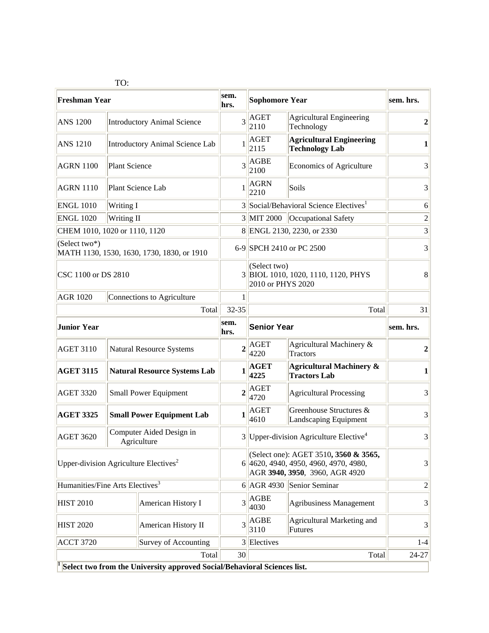|                                                             | TO:                                     |                                                                                        |                |                                                                                                                  |                                                            |                  |
|-------------------------------------------------------------|-----------------------------------------|----------------------------------------------------------------------------------------|----------------|------------------------------------------------------------------------------------------------------------------|------------------------------------------------------------|------------------|
| <b>Freshman Year</b>                                        |                                         |                                                                                        | sem.<br>hrs.   | <b>Sophomore Year</b>                                                                                            |                                                            | sem. hrs.        |
| <b>ANS 1200</b>                                             |                                         | <b>Introductory Animal Science</b>                                                     | 3              | <b>AGET</b><br>2110                                                                                              | <b>Agricultural Engineering</b><br>Technology              | $\overline{2}$   |
| <b>ANS 1210</b>                                             | Introductory Animal Science Lab         |                                                                                        | 1              | <b>AGET</b><br>2115                                                                                              | <b>Agricultural Engineering</b><br><b>Technology Lab</b>   | 1                |
| <b>AGRN 1100</b>                                            |                                         | <b>Plant Science</b>                                                                   |                | <b>AGBE</b><br>2100                                                                                              | Economics of Agriculture                                   | 3                |
| <b>AGRN 1110</b>                                            | Plant Science Lab                       |                                                                                        | $\mathbf{1}$   | <b>AGRN</b><br>2210                                                                                              | Soils                                                      | 3                |
| <b>ENGL 1010</b>                                            | Writing I                               |                                                                                        |                | 3 Social/Behavioral Science Electives <sup>1</sup>                                                               |                                                            | 6                |
| <b>ENGL 1020</b>                                            | Writing II                              |                                                                                        |                | 3 MIT 2000 Cccupational Safety                                                                                   |                                                            | $\overline{2}$   |
| CHEM 1010, 1020 or 1110, 1120                               |                                         |                                                                                        |                | 8 ENGL 2130, 2230, or 2330                                                                                       |                                                            | 3                |
| (Select two*)<br>MATH 1130, 1530, 1630, 1730, 1830, or 1910 |                                         |                                                                                        |                | 6-9 SPCH 2410 or PC 2500                                                                                         |                                                            | 3                |
| CSC 1100 or DS 2810                                         |                                         |                                                                                        |                | (Select two)<br>3 BIOL 1010, 1020, 1110, 1120, PHYS<br>2010 or PHYS 2020                                         |                                                            | 8                |
| <b>AGR 1020</b>                                             |                                         | Connections to Agriculture                                                             |                |                                                                                                                  |                                                            |                  |
| Total                                                       |                                         |                                                                                        | 32-35          | Total                                                                                                            |                                                            | 31               |
| <b>Junior Year</b>                                          |                                         |                                                                                        | sem.<br>hrs.   | <b>Senior Year</b>                                                                                               |                                                            | sem. hrs.        |
| <b>AGET 3110</b>                                            | <b>Natural Resource Systems</b>         |                                                                                        | $\overline{2}$ | AGET<br>4220                                                                                                     | Agricultural Machinery &<br><b>Tractors</b>                | $\boldsymbol{2}$ |
| <b>AGET 3115</b>                                            | <b>Natural Resource Systems Lab</b>     |                                                                                        | 1              | AGET<br>4225                                                                                                     | <b>Agricultural Machinery &amp;</b><br><b>Tractors Lab</b> | $\mathbf{1}$     |
| <b>AGET 3320</b>                                            | <b>Small Power Equipment</b>            |                                                                                        | $\overline{2}$ | AGET<br>4720                                                                                                     | <b>Agricultural Processing</b>                             | 3                |
| <b>AGET 3325</b>                                            | <b>Small Power Equipment Lab</b>        |                                                                                        | 1              | AGET<br>4610                                                                                                     | Greenhouse Structures &<br>Landscaping Equipment           | 3                |
| <b>AGET 3620</b>                                            | Computer Aided Design in<br>Agriculture |                                                                                        |                | $3$ Upper-division Agriculture Elective <sup>4</sup>                                                             |                                                            | 3                |
| Upper-division Agriculture Electives <sup>2</sup>           |                                         |                                                                                        |                | (Select one): AGET 3510, 3560 & 3565,<br>6 4620, 4940, 4950, 4960, 4970, 4980,<br>AGR 3940, 3950, 3960, AGR 4920 |                                                            | $\overline{3}$   |
| Humanities/Fine Arts Electives <sup>3</sup>                 |                                         |                                                                                        |                |                                                                                                                  | 6 AGR 4930 Senior Seminar                                  | $\overline{2}$   |
| <b>HIST 2010</b>                                            |                                         | American History I                                                                     | 3              | <b>AGBE</b><br>4030                                                                                              | <b>Agribusiness Management</b>                             | $\overline{3}$   |
| <b>HIST 2020</b>                                            |                                         | American History II                                                                    | $\overline{3}$ | AGBE<br>3110                                                                                                     | Agricultural Marketing and<br><b>Futures</b>               | 3                |
| <b>ACCT 3720</b>                                            |                                         | Survey of Accounting                                                                   |                | 3 Electives                                                                                                      |                                                            | $1 - 4$          |
| Total                                                       |                                         |                                                                                        |                | 30<br>Total                                                                                                      |                                                            | $24 - 27$        |
|                                                             |                                         | $\frac{1}{2}$ Select two from the University approved Social/Behavioral Sciences list. |                |                                                                                                                  |                                                            |                  |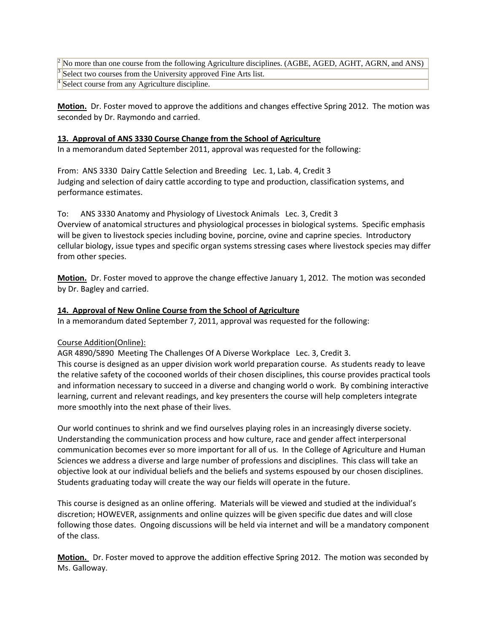<sup>2</sup> No more than one course from the following Agriculture disciplines. (AGBE, AGED, AGHT, AGRN, and ANS) Select two courses from the University approved Fine Arts list. Select course from any Agriculture discipline.

**Motion.** Dr. Foster moved to approve the additions and changes effective Spring 2012. The motion was seconded by Dr. Raymondo and carried.

#### **13. Approval of ANS 3330 Course Change from the School of Agriculture**

In a memorandum dated September 2011, approval was requested for the following:

From: ANS 3330 Dairy Cattle Selection and Breeding Lec. 1, Lab. 4, Credit 3 Judging and selection of dairy cattle according to type and production, classification systems, and performance estimates.

To: ANS 3330 Anatomy and Physiology of Livestock Animals Lec. 3, Credit 3 Overview of anatomical structures and physiological processes in biological systems. Specific emphasis will be given to livestock species including bovine, porcine, ovine and caprine species. Introductory cellular biology, issue types and specific organ systems stressing cases where livestock species may differ from other species.

**Motion.** Dr. Foster moved to approve the change effective January 1, 2012. The motion was seconded by Dr. Bagley and carried.

#### **14. Approval of New Online Course from the School of Agriculture**

In a memorandum dated September 7, 2011, approval was requested for the following:

## Course Addition(Online):

AGR 4890/5890 Meeting The Challenges Of A Diverse Workplace Lec. 3, Credit 3. This course is designed as an upper division work world preparation course. As students ready to leave the relative safety of the cocooned worlds of their chosen disciplines, this course provides practical tools and information necessary to succeed in a diverse and changing world o work. By combining interactive learning, current and relevant readings, and key presenters the course will help completers integrate more smoothly into the next phase of their lives.

Our world continues to shrink and we find ourselves playing roles in an increasingly diverse society. Understanding the communication process and how culture, race and gender affect interpersonal communication becomes ever so more important for all of us. In the College of Agriculture and Human Sciences we address a diverse and large number of professions and disciplines. This class will take an objective look at our individual beliefs and the beliefs and systems espoused by our chosen disciplines. Students graduating today will create the way our fields will operate in the future.

This course is designed as an online offering. Materials will be viewed and studied at the individual's discretion; HOWEVER, assignments and online quizzes will be given specific due dates and will close following those dates. Ongoing discussions will be held via internet and will be a mandatory component of the class.

**Motion.** Dr. Foster moved to approve the addition effective Spring 2012. The motion was seconded by Ms. Galloway.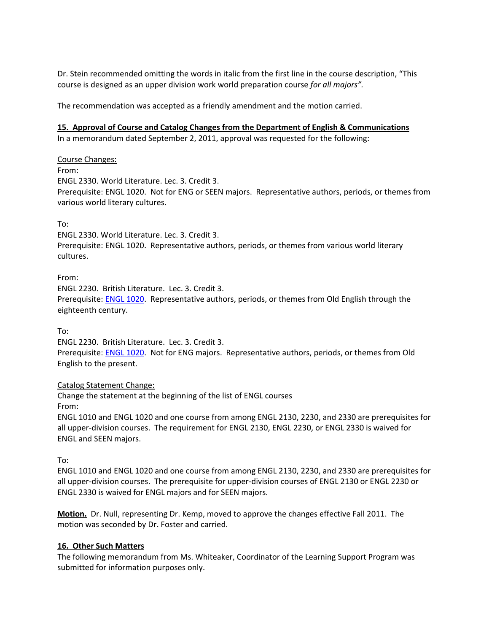Dr. Stein recommended omitting the words in italic from the first line in the course description, "This course is designed as an upper division work world preparation course *for all majors".*

The recommendation was accepted as a friendly amendment and the motion carried.

## **15. Approval of Course and Catalog Changes from the Department of English & Communications**

In a memorandum dated September 2, 2011, approval was requested for the following:

Course Changes:

From:

ENGL 2330. World Literature. Lec. 3. Credit 3. Prerequisite: ENGL 1020. Not for ENG or SEEN majors. Representative authors, periods, or themes from various world literary cultures.

To:

ENGL 2330. World Literature. Lec. 3. Credit 3. Prerequisite: ENGL 1020. Representative authors, periods, or themes from various world literary cultures.

From:

ENGL 2230. British Literature. Lec. 3. Credit 3. Prerequisite: ENGL 1020. Representative authors, periods, or themes from Old English through the eighteenth century.

To:

ENGL 2230. British Literature. Lec. 3. Credit 3. Prerequisite: ENGL 1020. Not for ENG majors. Representative authors, periods, or themes from Old English to the present.

Catalog Statement Change:

Change the statement at the beginning of the list of ENGL courses From:

ENGL 1010 and ENGL 1020 and one course from among ENGL 2130, 2230, and 2330 are prerequisites for all upper‐division courses. The requirement for ENGL 2130, ENGL 2230, or ENGL 2330 is waived for ENGL and SEEN majors.

To:

ENGL 1010 and ENGL 1020 and one course from among ENGL 2130, 2230, and 2330 are prerequisites for all upper‐division courses. The prerequisite for upper‐division courses of ENGL 2130 or ENGL 2230 or ENGL 2330 is waived for ENGL majors and for SEEN majors.

**Motion.** Dr. Null, representing Dr. Kemp, moved to approve the changes effective Fall 2011. The motion was seconded by Dr. Foster and carried.

## **16. Other Such Matters**

The following memorandum from Ms. Whiteaker, Coordinator of the Learning Support Program was submitted for information purposes only.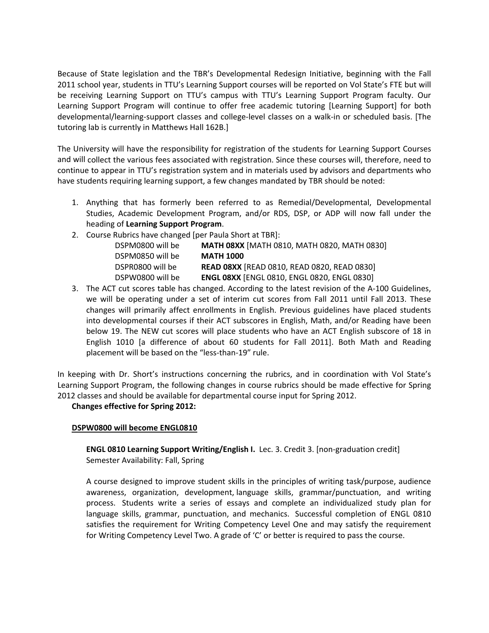Because of State legislation and the TBR's Developmental Redesign Initiative, beginning with the Fall 2011 school year, students in TTU's Learning Support courses will be reported on Vol State's FTE but will be receiving Learning Support on TTU's campus with TTU's Learning Support Program faculty. Our Learning Support Program will continue to offer free academic tutoring [Learning Support] for both developmental/learning‐support classes and college‐level classes on a walk‐in or scheduled basis. [The tutoring lab is currently in Matthews Hall 162B.]

The University will have the responsibility for registration of the students for Learning Support Courses and will collect the various fees associated with registration. Since these courses will, therefore, need to continue to appear in TTU's registration system and in materials used by advisors and departments who have students requiring learning support, a few changes mandated by TBR should be noted:

- 1. Anything that has formerly been referred to as Remedial/Developmental, Developmental Studies, Academic Development Program, and/or RDS, DSP, or ADP will now fall under the heading of **Learning Support Program**.
- 2. Course Rubrics have changed [per Paula Short at TBR]:

| MATH 08XX [MATH 0810, MATH 0820, MATH 0830]        |
|----------------------------------------------------|
| <b>MATH 1000</b>                                   |
| READ 08XX [READ 0810, READ 0820, READ 0830]        |
| <b>ENGL 08XX [ENGL 0810, ENGL 0820, ENGL 0830]</b> |
|                                                    |

3. The ACT cut scores table has changed. According to the latest revision of the A‐100 Guidelines, we will be operating under a set of interim cut scores from Fall 2011 until Fall 2013. These changes will primarily affect enrollments in English. Previous guidelines have placed students into developmental courses if their ACT subscores in English, Math, and/or Reading have been below 19. The NEW cut scores will place students who have an ACT English subscore of 18 in English 1010 [a difference of about 60 students for Fall 2011]. Both Math and Reading placement will be based on the "less‐than‐19" rule.

In keeping with Dr. Short's instructions concerning the rubrics, and in coordination with Vol State's Learning Support Program, the following changes in course rubrics should be made effective for Spring 2012 classes and should be available for departmental course input for Spring 2012.

## **Changes effective for Spring 2012:**

#### **DSPW0800 will become ENGL0810**

**ENGL 0810 Learning Support Writing/English I.** Lec. 3. Credit 3. [non‐graduation credit] Semester Availability: Fall, Spring

A course designed to improve student skills in the principles of writing task/purpose, audience awareness, organization, development, language skills, grammar/punctuation, and writing process. Students write a series of essays and complete an individualized study plan for language skills, grammar, punctuation, and mechanics. Successful completion of ENGL 0810 satisfies the requirement for Writing Competency Level One and may satisfy the requirement for Writing Competency Level Two. A grade of 'C' or better is required to pass the course.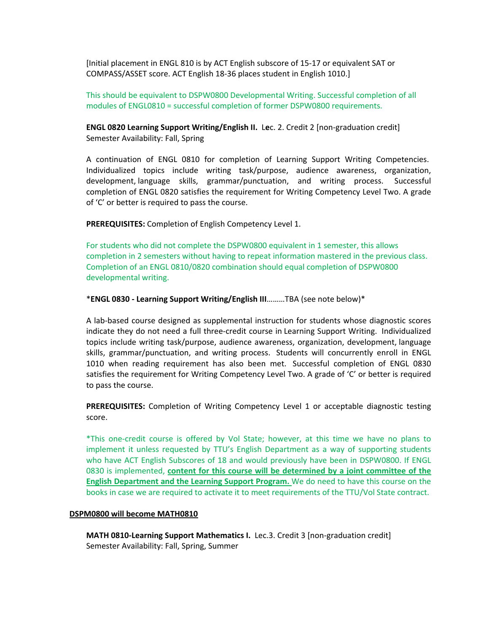[Initial placement in ENGL 810 is by ACT English subscore of 15‐17 or equivalent SAT or COMPASS/ASSET score. ACT English 18‐36 places student in English 1010.]

This should be equivalent to DSPW0800 Developmental Writing. Successful completion of all modules of ENGL0810 = successful completion of former DSPW0800 requirements.

**ENGL 0820 Learning Support Writing/English II.** L**e**c. 2. Credit 2 [non‐graduation credit] Semester Availability: Fall, Spring

A continuation of ENGL 0810 for completion of Learning Support Writing Competencies. Individualized topics include writing task/purpose, audience awareness, organization, development, language skills, grammar/punctuation, and writing process. Successful completion of ENGL 0820 satisfies the requirement for Writing Competency Level Two. A grade of 'C' or better is required to pass the course.

**PREREQUISITES:** Completion of English Competency Level 1.

For students who did not complete the DSPW0800 equivalent in 1 semester, this allows completion in 2 semesters without having to repeat information mastered in the previous class. Completion of an ENGL 0810/0820 combination should equal completion of DSPW0800 developmental writing.

\***ENGL 0830 ‐ Learning Support Writing/English III**………TBA (see note below)\*

A lab‐based course designed as supplemental instruction for students whose diagnostic scores indicate they do not need a full three‐credit course in Learning Support Writing. Individualized topics include writing task/purpose, audience awareness, organization, development, language skills, grammar/punctuation, and writing process. Students will concurrently enroll in ENGL 1010 when reading requirement has also been met. Successful completion of ENGL 0830 satisfies the requirement for Writing Competency Level Two. A grade of 'C' or better is required to pass the course.

**PREREQUISITES:** Completion of Writing Competency Level 1 or acceptable diagnostic testing score.

\*This one‐credit course is offered by Vol State; however, at this time we have no plans to implement it unless requested by TTU's English Department as a way of supporting students who have ACT English Subscores of 18 and would previously have been in DSPW0800. If ENGL 0830 is implemented, **content for this course will be determined by a joint committee of the English Department and the Learning Support Program.** We do need to have this course on the books in case we are required to activate it to meet requirements of the TTU/Vol State contract.

#### **DSPM0800 will become MATH0810**

**MATH 0810‐Learning Support Mathematics I.** Lec.3. Credit 3 [non‐graduation credit] Semester Availability: Fall, Spring, Summer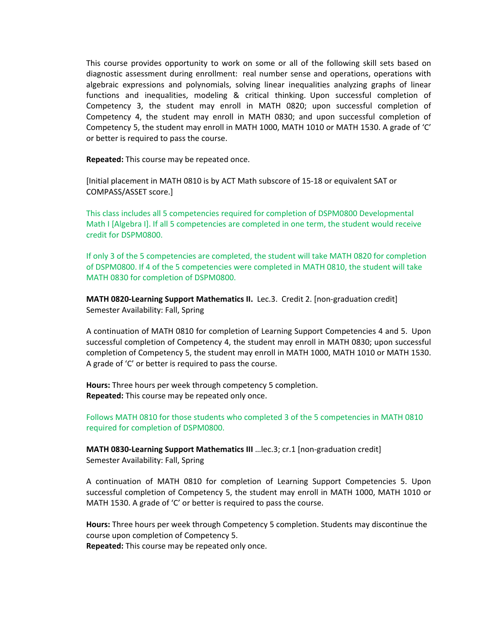This course provides opportunity to work on some or all of the following skill sets based on diagnostic assessment during enrollment: real number sense and operations, operations with algebraic expressions and polynomials, solving linear inequalities analyzing graphs of linear functions and inequalities, modeling & critical thinking. Upon successful completion of Competency 3, the student may enroll in MATH 0820; upon successful completion of Competency 4, the student may enroll in MATH 0830; and upon successful completion of Competency 5, the student may enroll in MATH 1000, MATH 1010 or MATH 1530. A grade of 'C' or better is required to pass the course.

**Repeated:** This course may be repeated once.

[Initial placement in MATH 0810 is by ACT Math subscore of 15‐18 or equivalent SAT or COMPASS/ASSET score.]

This class includes all 5 competencies required for completion of DSPM0800 Developmental Math I [Algebra I]. If all 5 competencies are completed in one term, the student would receive credit for DSPM0800.

If only 3 of the 5 competencies are completed, the student will take MATH 0820 for completion of DSPM0800. If 4 of the 5 competencies were completed in MATH 0810, the student will take MATH 0830 for completion of DSPM0800.

**MATH 0820‐Learning Support Mathematics II.** Lec.3. Credit 2. [non‐graduation credit] Semester Availability: Fall, Spring

A continuation of MATH 0810 for completion of Learning Support Competencies 4 and 5. Upon successful completion of Competency 4, the student may enroll in MATH 0830; upon successful completion of Competency 5, the student may enroll in MATH 1000, MATH 1010 or MATH 1530. A grade of 'C' or better is required to pass the course.

**Hours:** Three hours per week through competency 5 completion. **Repeated:** This course may be repeated only once.

Follows MATH 0810 for those students who completed 3 of the 5 competencies in MATH 0810 required for completion of DSPM0800.

**MATH 0830‐Learning Support Mathematics III** …lec.3; cr.1 [non‐graduation credit] Semester Availability: Fall, Spring

A continuation of MATH 0810 for completion of Learning Support Competencies 5. Upon successful completion of Competency 5, the student may enroll in MATH 1000, MATH 1010 or MATH 1530. A grade of 'C' or better is required to pass the course.

**Hours:** Three hours per week through Competency 5 completion. Students may discontinue the course upon completion of Competency 5.

**Repeated:** This course may be repeated only once.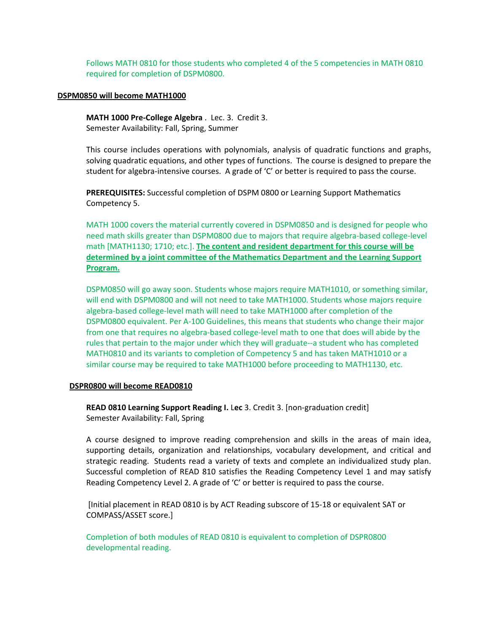Follows MATH 0810 for those students who completed 4 of the 5 competencies in MATH 0810 required for completion of DSPM0800.

#### **DSPM0850 will become MATH1000**

**MATH 1000 Pre‐College Algebra** . Lec. 3. Credit 3. Semester Availability: Fall, Spring, Summer

This course includes operations with polynomials, analysis of quadratic functions and graphs, solving quadratic equations, and other types of functions. The course is designed to prepare the student for algebra-intensive courses. A grade of 'C' or better is required to pass the course.

**PREREQUISITES:** Successful completion of DSPM 0800 or Learning Support Mathematics Competency 5.

MATH 1000 covers the material currently covered in DSPM0850 and is designed for people who need math skills greater than DSPM0800 due to majors that require algebra‐based college‐level math [MATH1130; 1710; etc.]. **The content and resident department for this course will be determined by a joint committee of the Mathematics Department and the Learning Support Program.**

DSPM0850 will go away soon. Students whose majors require MATH1010, or something similar, will end with DSPM0800 and will not need to take MATH1000. Students whose majors require algebra‐based college‐level math will need to take MATH1000 after completion of the DSPM0800 equivalent. Per A‐100 Guidelines, this means that students who change their major from one that requires no algebra‐based college‐level math to one that does will abide by the rules that pertain to the major under which they will graduate‐‐a student who has completed MATH0810 and its variants to completion of Competency 5 and has taken MATH1010 or a similar course may be required to take MATH1000 before proceeding to MATH1130, etc.

#### **DSPR0800 will become READ0810**

**READ 0810 Learning Support Reading I.** L**ec** 3. Credit 3. [non‐graduation credit] Semester Availability: Fall, Spring

A course designed to improve reading comprehension and skills in the areas of main idea, supporting details, organization and relationships, vocabulary development, and critical and strategic reading. Students read a variety of texts and complete an individualized study plan. Successful completion of READ 810 satisfies the Reading Competency Level 1 and may satisfy Reading Competency Level 2. A grade of 'C' or better is required to pass the course.

[Initial placement in READ 0810 is by ACT Reading subscore of 15‐18 or equivalent SAT or COMPASS/ASSET score.]

Completion of both modules of READ 0810 is equivalent to completion of DSPR0800 developmental reading.